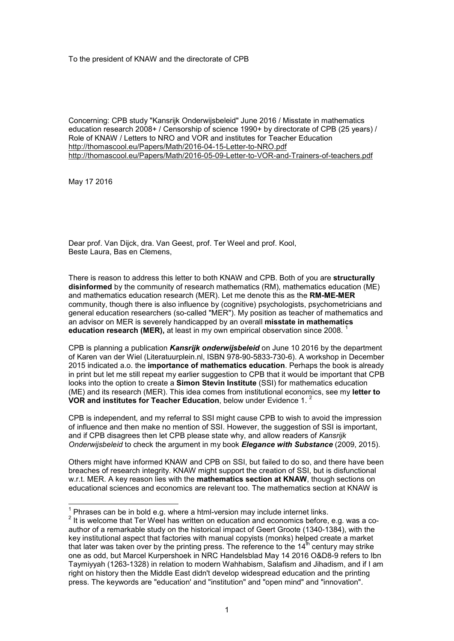To the president of KNAW and the directorate of CPB

Concerning: CPB study "Kansrijk Onderwijsbeleid" June 2016 / Misstate in mathematics education research 2008+ / Censorship of science 1990+ by directorate of CPB (25 years) / Role of KNAW / Letters to NRO and VOR and institutes for Teacher Education http://thomascool.eu/Papers/Math/2016-04-15-Letter-to-NRO.pdf http://thomascool.eu/Papers/Math/2016-05-09-Letter-to-VOR-and-Trainers-of-teachers.pdf

May 17 2016

Dear prof. Van Dijck, dra. Van Geest, prof. Ter Weel and prof. Kool, Beste Laura, Bas en Clemens,

There is reason to address this letter to both KNAW and CPB. Both of you are **structurally disinformed** by the community of research mathematics (RM), mathematics education (ME) and mathematics education research (MER). Let me denote this as the **RM-ME-MER** community, though there is also influence by (cognitive) psychologists, psychometricians and general education researchers (so-called "MER"). My position as teacher of mathematics and an advisor on MER is severely handicapped by an overall **misstate in mathematics education research (MER),** at least in my own empirical observation since 2008.<sup>1</sup>

CPB is planning a publication *Kansrijk onderwijsbeleid* on June 10 2016 by the department of Karen van der Wiel (Literatuurplein.nl, ISBN 978-90-5833-730-6). A workshop in December 2015 indicated a.o. the **importance of mathematics education**. Perhaps the book is already in print but let me still repeat my earlier suggestion to CPB that it would be important that CPB looks into the option to create a **Simon Stevin Institute** (SSI) for mathematics education (ME) and its research (MER). This idea comes from institutional economics, see my **letter to VOR and institutes for Teacher Education**, below under Evidence 1. <sup>2</sup>

CPB is independent, and my referral to SSI might cause CPB to wish to avoid the impression of influence and then make no mention of SSI. However, the suggestion of SSI is important, and if CPB disagrees then let CPB please state why, and allow readers of *Kansrijk Onderwijsbeleid* to check the argument in my book *Elegance with Substance* (2009, 2015).

Others might have informed KNAW and CPB on SSI, but failed to do so, and there have been breaches of research integrity. KNAW might support the creation of SSI, but is disfunctional w.r.t. MER. A key reason lies with the **mathematics section at KNAW**, though sections on educational sciences and economics are relevant too. The mathematics section at KNAW is

 $\frac{1}{1}$ Phrases can be in bold e.g. where a html-version may include internet links.

 $^{\text{2}}$  It is welcome that Ter Weel has written on education and economics before, e.g. was a coauthor of a remarkable study on the historical impact of Geert Groote (1340-1384), with the key institutional aspect that factories with manual copyists (monks) helped create a market that later was taken over by the printing press. The reference to the  $14<sup>th</sup>$  century may strike one as odd, but Marcel Kurpershoek in NRC Handelsblad May 14 2016 O&D8-9 refers to Ibn Taymiyyah (1263-1328) in relation to modern Wahhabism, Salafism and Jihadism, and if I am right on history then the Middle East didn't develop widespread education and the printing press. The keywords are "education' and "institution" and "open mind" and "innovation".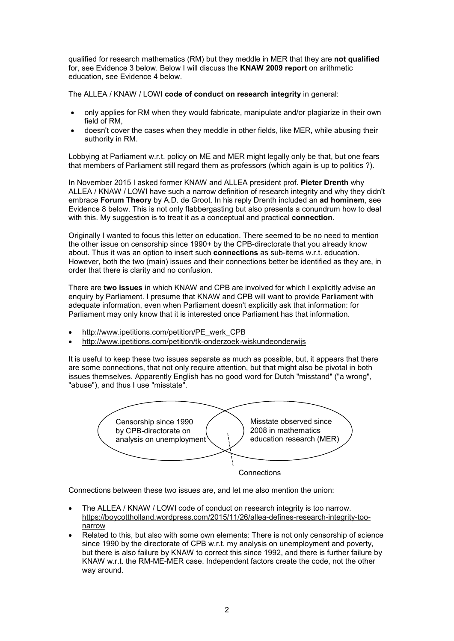qualified for research mathematics (RM) but they meddle in MER that they are **not qualified** for, see Evidence 3 below. Below I will discuss the **KNAW 2009 report** on arithmetic education, see Evidence 4 below.

The ALLEA / KNAW / LOWI **code of conduct on research integrity** in general:

- only applies for RM when they would fabricate, manipulate and/or plagiarize in their own field of RM,
- doesn't cover the cases when they meddle in other fields, like MER, while abusing their authority in RM.

Lobbying at Parliament w.r.t. policy on ME and MER might legally only be that, but one fears that members of Parliament still regard them as professors (which again is up to politics ?).

In November 2015 I asked former KNAW and ALLEA president prof. **Pieter Drenth** why ALLEA / KNAW / LOWI have such a narrow definition of research integrity and why they didn't embrace **Forum Theory** by A.D. de Groot. In his reply Drenth included an **ad hominem**, see Evidence 8 below. This is not only flabbergasting but also presents a conundrum how to deal with this. My suggestion is to treat it as a conceptual and practical **connection**.

Originally I wanted to focus this letter on education. There seemed to be no need to mention the other issue on censorship since 1990+ by the CPB-directorate that you already know about. Thus it was an option to insert such **connections** as sub-items w.r.t. education. However, both the two (main) issues and their connections better be identified as they are, in order that there is clarity and no confusion.

There are **two issues** in which KNAW and CPB are involved for which I explicitly advise an enquiry by Parliament. I presume that KNAW and CPB will want to provide Parliament with adequate information, even when Parliament doesn't explicitly ask that information: for Parliament may only know that it is interested once Parliament has that information.

- http://www.ipetitions.com/petition/PE\_werk\_CPB
- http://www.ipetitions.com/petition/tk-onderzoek-wiskundeonderwijs

It is useful to keep these two issues separate as much as possible, but, it appears that there are some connections, that not only require attention, but that might also be pivotal in both issues themselves. Apparently English has no good word for Dutch "misstand" ("a wrong", "abuse"), and thus I use "misstate".



**Connections** 

Connections between these two issues are, and let me also mention the union:

- The ALLEA / KNAW / LOWI code of conduct on research integrity is too narrow. https://boycottholland.wordpress.com/2015/11/26/allea-defines-research-integrity-toonarrow
- Related to this, but also with some own elements: There is not only censorship of science since 1990 by the directorate of CPB w.r.t. my analysis on unemployment and poverty, but there is also failure by KNAW to correct this since 1992, and there is further failure by KNAW w.r.t. the RM-ME-MER case. Independent factors create the code, not the other way around.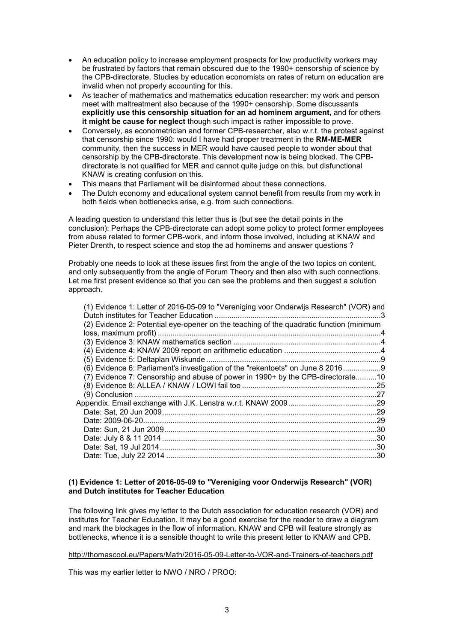- An education policy to increase employment prospects for low productivity workers may be frustrated by factors that remain obscured due to the 1990+ censorship of science by the CPB-directorate. Studies by education economists on rates of return on education are invalid when not properly accounting for this.
- As teacher of mathematics and mathematics education researcher: my work and person meet with maltreatment also because of the 1990+ censorship. Some discussants **explicitly use this censorship situation for an ad hominem argument,** and for others **it might be cause for neglect** though such impact is rather impossible to prove.
- Conversely, as econometrician and former CPB-researcher, also w.r.t. the protest against that censorship since 1990: would I have had proper treatment in the **RM-ME-MER** community, then the success in MER would have caused people to wonder about that censorship by the CPB-directorate. This development now is being blocked. The CPBdirectorate is not qualified for MER and cannot quite judge on this, but disfunctional KNAW is creating confusion on this.
- This means that Parliament will be disinformed about these connections.
- The Dutch economy and educational system cannot benefit from results from my work in both fields when bottlenecks arise, e.g. from such connections.

A leading question to understand this letter thus is (but see the detail points in the conclusion): Perhaps the CPB-directorate can adopt some policy to protect former employees from abuse related to former CPB-work, and inform those involved, including at KNAW and Pieter Drenth, to respect science and stop the ad hominems and answer questions ?

Probably one needs to look at these issues first from the angle of the two topics on content, and only subsequently from the angle of Forum Theory and then also with such connections. Let me first present evidence so that you can see the problems and then suggest a solution approach.

| (2) Evidence 2: Potential eye-opener on the teaching of the quadratic function (minimum<br>(6) Evidence 6: Parliament's investigation of the "rekentoets" on June 8 20169<br>(7) Evidence 7: Censorship and abuse of power in 1990+ by the CPB-directorate10<br>Appendix. Email exchange with J.K. Lenstra w.r.t. KNAW 2009……………………………………29 | (1) Evidence 1: Letter of 2016-05-09 to "Vereniging voor Onderwijs Research" (VOR) and |  |
|---------------------------------------------------------------------------------------------------------------------------------------------------------------------------------------------------------------------------------------------------------------------------------------------------------------------------------------------|----------------------------------------------------------------------------------------|--|
|                                                                                                                                                                                                                                                                                                                                             |                                                                                        |  |
|                                                                                                                                                                                                                                                                                                                                             |                                                                                        |  |
|                                                                                                                                                                                                                                                                                                                                             |                                                                                        |  |
|                                                                                                                                                                                                                                                                                                                                             |                                                                                        |  |
|                                                                                                                                                                                                                                                                                                                                             |                                                                                        |  |
|                                                                                                                                                                                                                                                                                                                                             |                                                                                        |  |
|                                                                                                                                                                                                                                                                                                                                             |                                                                                        |  |
|                                                                                                                                                                                                                                                                                                                                             |                                                                                        |  |
|                                                                                                                                                                                                                                                                                                                                             |                                                                                        |  |
|                                                                                                                                                                                                                                                                                                                                             |                                                                                        |  |
|                                                                                                                                                                                                                                                                                                                                             |                                                                                        |  |
|                                                                                                                                                                                                                                                                                                                                             |                                                                                        |  |
|                                                                                                                                                                                                                                                                                                                                             |                                                                                        |  |
|                                                                                                                                                                                                                                                                                                                                             |                                                                                        |  |
|                                                                                                                                                                                                                                                                                                                                             |                                                                                        |  |
|                                                                                                                                                                                                                                                                                                                                             |                                                                                        |  |
|                                                                                                                                                                                                                                                                                                                                             |                                                                                        |  |

# **(1) Evidence 1: Letter of 2016-05-09 to "Vereniging voor Onderwijs Research" (VOR) and Dutch institutes for Teacher Education**

The following link gives my letter to the Dutch association for education research (VOR) and institutes for Teacher Education. It may be a good exercise for the reader to draw a diagram and mark the blockages in the flow of information. KNAW and CPB will feature strongly as bottlenecks, whence it is a sensible thought to write this present letter to KNAW and CPB.

http://thomascool.eu/Papers/Math/2016-05-09-Letter-to-VOR-and-Trainers-of-teachers.pdf

This was my earlier letter to NWO / NRO / PROO: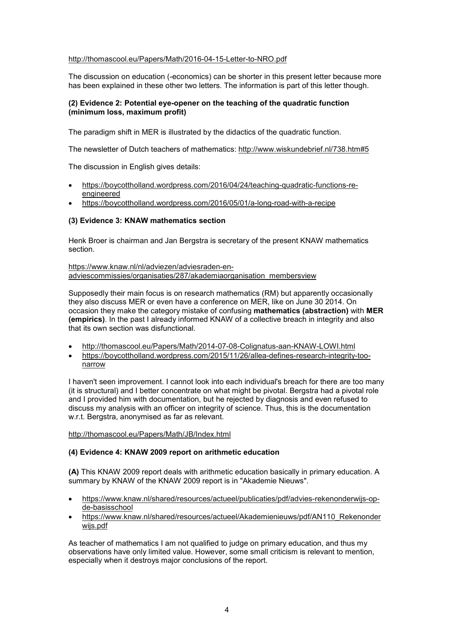# http://thomascool.eu/Papers/Math/2016-04-15-Letter-to-NRO.pdf

The discussion on education (-economics) can be shorter in this present letter because more has been explained in these other two letters. The information is part of this letter though.

# **(2) Evidence 2: Potential eye-opener on the teaching of the quadratic function (minimum loss, maximum profit)**

The paradigm shift in MER is illustrated by the didactics of the quadratic function.

The newsletter of Dutch teachers of mathematics: http://www.wiskundebrief.nl/738.htm#5

The discussion in English gives details:

- https://boycottholland.wordpress.com/2016/04/24/teaching-quadratic-functions-reengineered
- https://boycottholland.wordpress.com/2016/05/01/a-long-road-with-a-recipe

# **(3) Evidence 3: KNAW mathematics section**

Henk Broer is chairman and Jan Bergstra is secretary of the present KNAW mathematics section.

https://www.knaw.nl/nl/adviezen/adviesraden-enadviescommissies/organisaties/287/akademiaorganisation\_membersview

Supposedly their main focus is on research mathematics (RM) but apparently occasionally they also discuss MER or even have a conference on MER, like on June 30 2014. On occasion they make the category mistake of confusing **mathematics (abstraction)** with **MER (empirics)**. In the past I already informed KNAW of a collective breach in integrity and also that its own section was disfunctional.

- http://thomascool.eu/Papers/Math/2014-07-08-Colignatus-aan-KNAW-LOWI.html
- https://boycottholland.wordpress.com/2015/11/26/allea-defines-research-integrity-toonarrow

I haven't seen improvement. I cannot look into each individual's breach for there are too many (it is structural) and I better concentrate on what might be pivotal. Bergstra had a pivotal role and I provided him with documentation, but he rejected by diagnosis and even refused to discuss my analysis with an officer on integrity of science. Thus, this is the documentation w.r.t. Bergstra, anonymised as far as relevant.

http://thomascool.eu/Papers/Math/JB/Index.html

# **(4) Evidence 4: KNAW 2009 report on arithmetic education**

**(A)** This KNAW 2009 report deals with arithmetic education basically in primary education. A summary by KNAW of the KNAW 2009 report is in "Akademie Nieuws".

- https://www.knaw.nl/shared/resources/actueel/publicaties/pdf/advies-rekenonderwijs-opde-basisschool
- https://www.knaw.nl/shared/resources/actueel/Akademienieuws/pdf/AN110\_Rekenonder wijs.pdf

As teacher of mathematics I am not qualified to judge on primary education, and thus my observations have only limited value. However, some small criticism is relevant to mention, especially when it destroys major conclusions of the report.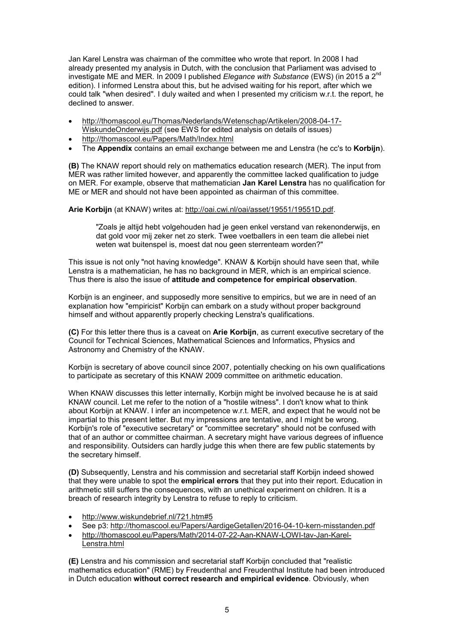Jan Karel Lenstra was chairman of the committee who wrote that report. In 2008 I had already presented my analysis in Dutch, with the conclusion that Parliament was advised to investigate ME and MER. In 2009 I published *Elegance with Substance* (EWS) (in 2015 a 2nd edition). I informed Lenstra about this, but he advised waiting for his report, after which we could talk "when desired". I duly waited and when I presented my criticism w.r.t. the report, he declined to answer.

- http://thomascool.eu/Thomas/Nederlands/Wetenschap/Artikelen/2008-04-17- WiskundeOnderwijs.pdf (see EWS for edited analysis on details of issues)
- http://thomascool.eu/Papers/Math/Index.html
- The **Appendix** contains an email exchange between me and Lenstra (he cc's to **Korbijn**).

**(B)** The KNAW report should rely on mathematics education research (MER). The input from MER was rather limited however, and apparently the committee lacked qualification to judge on MER. For example, observe that mathematician **Jan Karel Lenstra** has no qualification for ME or MER and should not have been appointed as chairman of this committee.

# **Arie Korbijn** (at KNAW) writes at: http://oai.cwi.nl/oai/asset/19551/19551D.pdf.

"Zoals je altijd hebt volgehouden had je geen enkel verstand van rekenonderwijs, en dat gold voor mij zeker net zo sterk. Twee voetballers in een team die allebei niet weten wat buitenspel is, moest dat nou geen sterrenteam worden?"

This issue is not only "not having knowledge". KNAW & Korbijn should have seen that, while Lenstra is a mathematician, he has no background in MER, which is an empirical science. Thus there is also the issue of **attitude and competence for empirical observation**.

Korbijn is an engineer, and supposedly more sensitive to empirics, but we are in need of an explanation how "empiricist" Korbijn can embark on a study without proper background himself and without apparently properly checking Lenstra's qualifications.

**(C)** For this letter there thus is a caveat on **Arie Korbijn**, as current executive secretary of the Council for Technical Sciences, Mathematical Sciences and Informatics, Physics and Astronomy and Chemistry of the KNAW.

Korbijn is secretary of above council since 2007, potentially checking on his own qualifications to participate as secretary of this KNAW 2009 committee on arithmetic education.

When KNAW discusses this letter internally, Korbijn might be involved because he is at said KNAW council. Let me refer to the notion of a "hostile witness". I don't know what to think about Korbijn at KNAW. I infer an incompetence w.r.t. MER, and expect that he would not be impartial to this present letter. But my impressions are tentative, and I might be wrong. Korbijn's role of "executive secretary" or "committee secretary" should not be confused with that of an author or committee chairman. A secretary might have various degrees of influence and responsibility. Outsiders can hardly judge this when there are few public statements by the secretary himself.

**(D)** Subsequently, Lenstra and his commission and secretarial staff Korbijn indeed showed that they were unable to spot the **empirical errors** that they put into their report. Education in arithmetic still suffers the consequences, with an unethical experiment on children. It is a breach of research integrity by Lenstra to refuse to reply to criticism.

- http://www.wiskundebrief.nl/721.htm#5
- See p3: http://thomascool.eu/Papers/AardigeGetallen/2016-04-10-kern-misstanden.pdf
- http://thomascool.eu/Papers/Math/2014-07-22-Aan-KNAW-LOWI-tav-Jan-Karel-Lenstra.html

**(E)** Lenstra and his commission and secretarial staff Korbijn concluded that "realistic mathematics education" (RME) by Freudenthal and Freudenthal Institute had been introduced in Dutch education **without correct research and empirical evidence**. Obviously, when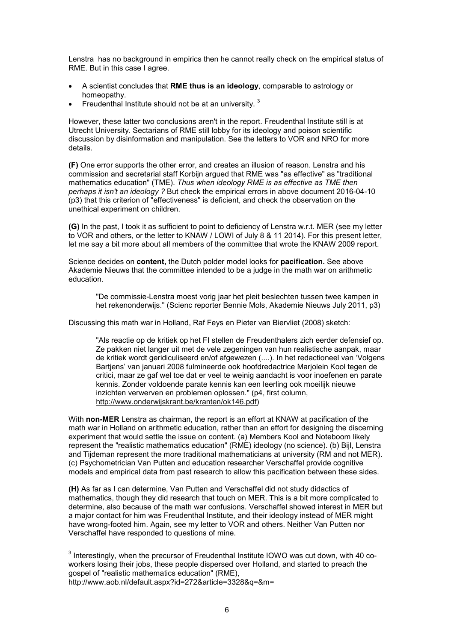Lenstra has no background in empirics then he cannot really check on the empirical status of RME. But in this case I agree.

- A scientist concludes that **RME thus is an ideology**, comparable to astrology or homeopathy.
- Freudenthal Institute should not be at an university.  $3$

However, these latter two conclusions aren't in the report. Freudenthal Institute still is at Utrecht University. Sectarians of RME still lobby for its ideology and poison scientific discussion by disinformation and manipulation. See the letters to VOR and NRO for more details.

**(F)** One error supports the other error, and creates an illusion of reason. Lenstra and his commission and secretarial staff Korbijn argued that RME was "as effective" as "traditional mathematics education" (TME). *Thus when ideology RME is as effective as TME then perhaps it isn't an ideology ?* But check the empirical errors in above document 2016-04-10 (p3) that this criterion of "effectiveness" is deficient, and check the observation on the unethical experiment on children.

**(G)** In the past, I took it as sufficient to point to deficiency of Lenstra w.r.t. MER (see my letter to VOR and others, or the letter to KNAW / LOWI of July 8 & 11 2014). For this present letter, let me say a bit more about all members of the committee that wrote the KNAW 2009 report.

Science decides on **content,** the Dutch polder model looks for **pacification.** See above Akademie Nieuws that the committee intended to be a judge in the math war on arithmetic education.

"De commissie-Lenstra moest vorig jaar het pleit beslechten tussen twee kampen in het rekenonderwijs." (Scienc reporter Bennie Mols, Akademie Nieuws July 2011, p3)

Discussing this math war in Holland, Raf Feys en Pieter van Biervliet (2008) sketch:

"Als reactie op de kritiek op het FI stellen de Freudenthalers zich eerder defensief op. Ze pakken niet langer uit met de vele zegeningen van hun realistische aanpak, maar de kritiek wordt geridiculiseerd en/of afgewezen (....). In het redactioneel van 'Volgens Bartjens' van januari 2008 fulmineerde ook hoofdredactrice Marjolein Kool tegen de critici, maar ze gaf wel toe dat er veel te weinig aandacht is voor inoefenen en parate kennis. Zonder voldoende parate kennis kan een leerling ook moeilijk nieuwe inzichten verwerven en problemen oplossen." (p4, first column, http://www.onderwijskrant.be/kranten/ok146.pdf)

With **non-MER** Lenstra as chairman, the report is an effort at KNAW at pacification of the math war in Holland on arithmetic education, rather than an effort for designing the discerning experiment that would settle the issue on content. (a) Members Kool and Noteboom likely represent the "realistic mathematics education" (RME) ideology (no science). (b) Bijl, Lenstra and Tijdeman represent the more traditional mathematicians at university (RM and not MER). (c) Psychometrician Van Putten and education researcher Verschaffel provide cognitive models and empirical data from past research to allow this pacification between these sides.

**(H)** As far as I can determine, Van Putten and Verschaffel did not study didactics of mathematics, though they did research that touch on MER. This is a bit more complicated to determine, also because of the math war confusions. Verschaffel showed interest in MER but a major contact for him was Freudenthal Institute, and their ideology instead of MER might have wrong-footed him. Again, see my letter to VOR and others. Neither Van Putten nor Verschaffel have responded to questions of mine.

 3 Interestingly, when the precursor of Freudenthal Institute IOWO was cut down, with 40 coworkers losing their jobs, these people dispersed over Holland, and started to preach the gospel of "realistic mathematics education" (RME), http://www.aob.nl/default.aspx?id=272&article=3328&q=&m=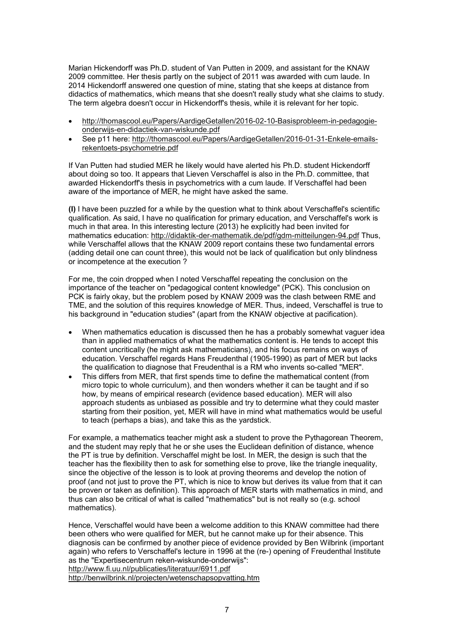Marian Hickendorff was Ph.D. student of Van Putten in 2009, and assistant for the KNAW 2009 committee. Her thesis partly on the subject of 2011 was awarded with cum laude. In 2014 Hickendorff answered one question of mine, stating that she keeps at distance from didactics of mathematics, which means that she doesn't really study what she claims to study. The term algebra doesn't occur in Hickendorff's thesis, while it is relevant for her topic.

- http://thomascool.eu/Papers/AardigeGetallen/2016-02-10-Basisprobleem-in-pedagogieonderwijs-en-didactiek-van-wiskunde.pdf
- See p11 here: http://thomascool.eu/Papers/AardigeGetallen/2016-01-31-Enkele-emailsrekentoets-psychometrie.pdf

If Van Putten had studied MER he likely would have alerted his Ph.D. student Hickendorff about doing so too. It appears that Lieven Verschaffel is also in the Ph.D. committee, that awarded Hickendorff's thesis in psychometrics with a cum laude. If Verschaffel had been aware of the importance of MER, he might have asked the same.

**(I)** I have been puzzled for a while by the question what to think about Verschaffel's scientific qualification. As said, I have no qualification for primary education, and Verschaffel's work is much in that area. In this interesting lecture (2013) he explicitly had been invited for mathematics education: http://didaktik-der-mathematik.de/pdf/gdm-mitteilungen-94.pdf Thus, while Verschaffel allows that the KNAW 2009 report contains these two fundamental errors (adding detail one can count three), this would not be lack of qualification but only blindness or incompetence at the execution ?

For me, the coin dropped when I noted Verschaffel repeating the conclusion on the importance of the teacher on "pedagogical content knowledge" (PCK). This conclusion on PCK is fairly okay, but the problem posed by KNAW 2009 was the clash between RME and TME, and the solution of this requires knowledge of MER. Thus, indeed, Verschaffel is true to his background in "education studies" (apart from the KNAW objective at pacification).

- When mathematics education is discussed then he has a probably somewhat vaguer idea than in applied mathematics of what the mathematics content is. He tends to accept this content uncritically (he might ask mathematicians), and his focus remains on ways of education. Verschaffel regards Hans Freudenthal (1905-1990) as part of MER but lacks the qualification to diagnose that Freudenthal is a RM who invents so-called "MER".
- This differs from MER, that first spends time to define the mathematical content (from micro topic to whole curriculum), and then wonders whether it can be taught and if so how, by means of empirical research (evidence based education). MER will also approach students as unbiased as possible and try to determine what they could master starting from their position, yet, MER will have in mind what mathematics would be useful to teach (perhaps a bias), and take this as the yardstick.

For example, a mathematics teacher might ask a student to prove the Pythagorean Theorem, and the student may reply that he or she uses the Euclidean definition of distance, whence the PT is true by definition. Verschaffel might be lost. In MER, the design is such that the teacher has the flexibility then to ask for something else to prove, like the triangle inequality, since the objective of the lesson is to look at proving theorems and develop the notion of proof (and not just to prove the PT, which is nice to know but derives its value from that it can be proven or taken as definition). This approach of MER starts with mathematics in mind, and thus can also be critical of what is called "mathematics" but is not really so (e.g. school mathematics).

Hence, Verschaffel would have been a welcome addition to this KNAW committee had there been others who were qualified for MER, but he cannot make up for their absence. This diagnosis can be confirmed by another piece of evidence provided by Ben Wilbrink (important again) who refers to Verschaffel's lecture in 1996 at the (re-) opening of Freudenthal Institute as the "Expertisecentrum reken-wiskunde-onderwijs": http://www.fi.uu.nl/publicaties/literatuur/6911.pdf http://benwilbrink.nl/projecten/wetenschapsopvatting.htm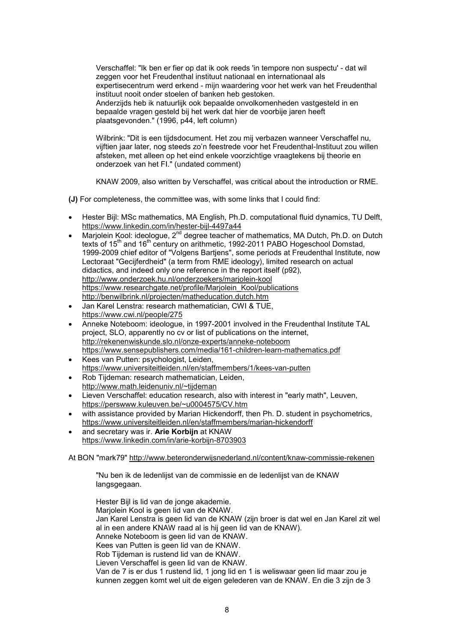Verschaffel: "Ik ben er fier op dat ik ook reeds 'in tempore non suspectu' - dat wil zeggen voor het Freudenthal instituut nationaal en internationaal als expertisecentrum werd erkend - mijn waardering voor het werk van het Freudenthal instituut nooit onder stoelen of banken heb gestoken. Anderzijds heb ik natuurlijk ook bepaalde onvolkomenheden vastgesteld in en bepaalde vragen gesteld bij het werk dat hier de voorbije jaren heeft plaatsgevonden." (1996, p44, left column)

Wilbrink: "Dit is een tijdsdocument. Het zou mij verbazen wanneer Verschaffel nu, vijftien jaar later, nog steeds zo'n feestrede voor het Freudenthal-Instituut zou willen afsteken, met alleen op het eind enkele voorzichtige vraagtekens bij theorie en onderzoek van het FI." (undated comment)

KNAW 2009, also written by Verschaffel, was critical about the introduction or RME.

**(J)** For completeness, the committee was, with some links that I could find:

- Hester Bijl: MSc mathematics, MA English, Ph.D. computational fluid dynamics, TU Delft, https://www.linkedin.com/in/hester-bijl-4497a44
- Marjolein Kool: ideologue, 2<sup>nd</sup> degree teacher of mathematics, MA Dutch, Ph.D. on Dutch texts of 15<sup>th</sup> and 16<sup>th</sup> century on arithmetic, 1992-2011 PABO Hogeschool Domstad, 1999-2009 chief editor of "Volgens Bartjens", some periods at Freudenthal Institute, now Lectoraat "Gecijferdheid" (a term from RME ideology), limited research on actual didactics, and indeed only one reference in the report itself (p92), http://www.onderzoek.hu.nl/onderzoekers/marjolein-kool https://www.researchgate.net/profile/Marjolein\_Kool/publications http://benwilbrink.nl/projecten/matheducation.dutch.htm
- Jan Karel Lenstra: research mathematician, CWI & TUE, https://www.cwi.nl/people/275
- Anneke Noteboom: ideologue, in 1997-2001 involved in the Freudenthal Institute TAL project, SLO, apparently no cv or list of publications on the internet, http://rekenenwiskunde.slo.nl/onze-experts/anneke-noteboom https://www.sensepublishers.com/media/161-children-learn-mathematics.pdf
- Kees van Putten: psychologist, Leiden, https://www.universiteitleiden.nl/en/staffmembers/1/kees-van-putten
- Rob Tijdeman: research mathematician, Leiden, http://www.math.leidenuniv.nl/~tijdeman
- Lieven Verschaffel: education research, also with interest in "early math", Leuven, https://perswww.kuleuven.be/~u0004575/CV.htm
- with assistance provided by Marian Hickendorff, then Ph. D. student in psychometrics, https://www.universiteitleiden.nl/en/staffmembers/marian-hickendorff
- and secretary was ir. **Arie Korbijn** at KNAW https://www.linkedin.com/in/arie-korbijn-8703903

At BON "mark79" http://www.beteronderwijsnederland.nl/content/knaw-commissie-rekenen

"Nu ben ik de ledenlijst van de commissie en de ledenlijst van de KNAW langsgegaan.

Hester Bijl is lid van de jonge akademie. Marjolein Kool is geen lid van de KNAW. Jan Karel Lenstra is geen lid van de KNAW (zijn broer is dat wel en Jan Karel zit wel al in een andere KNAW raad al is hij geen lid van de KNAW). Anneke Noteboom is geen lid van de KNAW. Kees van Putten is geen lid van de KNAW. Rob Tijdeman is rustend lid van de KNAW. Lieven Verschaffel is geen lid van de KNAW. Van de 7 is er dus 1 rustend lid, 1 jong lid en 1 is weliswaar geen lid maar zou je kunnen zeggen komt wel uit de eigen gelederen van de KNAW. En die 3 zijn de 3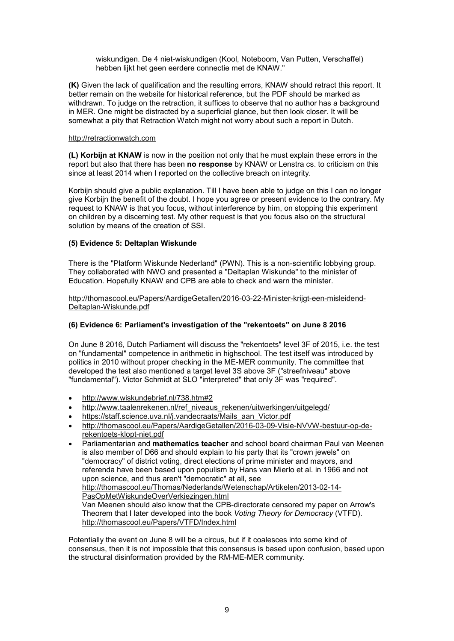wiskundigen. De 4 niet-wiskundigen (Kool, Noteboom, Van Putten, Verschaffel) hebben lijkt het geen eerdere connectie met de KNAW."

**(K)** Given the lack of qualification and the resulting errors, KNAW should retract this report. It better remain on the website for historical reference, but the PDF should be marked as withdrawn. To judge on the retraction, it suffices to observe that no author has a background in MER. One might be distracted by a superficial glance, but then look closer. It will be somewhat a pity that Retraction Watch might not worry about such a report in Dutch.

#### http://retractionwatch.com

**(L) Korbijn at KNAW** is now in the position not only that he must explain these errors in the report but also that there has been **no response** by KNAW or Lenstra cs. to criticism on this since at least 2014 when I reported on the collective breach on integrity.

Korbijn should give a public explanation. Till I have been able to judge on this I can no longer give Korbijn the benefit of the doubt. I hope you agree or present evidence to the contrary. My request to KNAW is that you focus, without interference by him, on stopping this experiment on children by a discerning test. My other request is that you focus also on the structural solution by means of the creation of SSI.

# **(5) Evidence 5: Deltaplan Wiskunde**

There is the "Platform Wiskunde Nederland" (PWN). This is a non-scientific lobbying group. They collaborated with NWO and presented a "Deltaplan Wiskunde" to the minister of Education. Hopefully KNAW and CPB are able to check and warn the minister.

http://thomascool.eu/Papers/AardigeGetallen/2016-03-22-Minister-krijgt-een-misleidend-Deltaplan-Wiskunde.pdf

# **(6) Evidence 6: Parliament's investigation of the "rekentoets" on June 8 2016**

On June 8 2016, Dutch Parliament will discuss the "rekentoets" level 3F of 2015, i.e. the test on "fundamental" competence in arithmetic in highschool. The test itself was introduced by politics in 2010 without proper checking in the ME-MER community. The committee that developed the test also mentioned a target level 3S above 3F ("streefniveau" above "fundamental"). Victor Schmidt at SLO "interpreted" that only 3F was "required".

- http://www.wiskundebrief.nl/738.htm#2
- http://www.taalenrekenen.nl/ref\_niveaus\_rekenen/uitwerkingen/uitgelegd/
- https://staff.science.uva.nl/j.vandecraats/Mails\_aan\_Victor.pdf
- http://thomascool.eu/Papers/AardigeGetallen/2016-03-09-Visie-NVVW-bestuur-op-derekentoets-klopt-niet.pdf
- Parliamentarian and **mathematics teacher** and school board chairman Paul van Meenen is also member of D66 and should explain to his party that its "crown jewels" on "democracy" of district voting, direct elections of prime minister and mayors, and referenda have been based upon populism by Hans van Mierlo et al. in 1966 and not upon science, and thus aren't "democratic" at all, see http://thomascool.eu/Thomas/Nederlands/Wetenschap/Artikelen/2013-02-14- PasOpMetWiskundeOverVerkiezingen.html Van Meenen should also know that the CPB-directorate censored my paper on Arrow's Theorem that I later developed into the book *Voting Theory for Democracy* (VTFD). http://thomascool.eu/Papers/VTFD/Index.html

Potentially the event on June 8 will be a circus, but if it coalesces into some kind of consensus, then it is not impossible that this consensus is based upon confusion, based upon the structural disinformation provided by the RM-ME-MER community.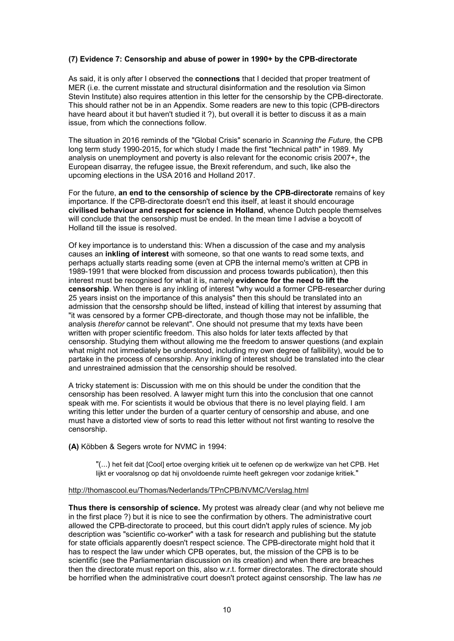# **(7) Evidence 7: Censorship and abuse of power in 1990+ by the CPB-directorate**

As said, it is only after I observed the **connections** that I decided that proper treatment of MER (i.e. the current misstate and structural disinformation and the resolution via Simon Stevin Institute) also requires attention in this letter for the censorship by the CPB-directorate. This should rather not be in an Appendix. Some readers are new to this topic (CPB-directors have heard about it but haven't studied it ?), but overall it is better to discuss it as a main issue, from which the connections follow.

The situation in 2016 reminds of the "Global Crisis" scenario in *Scanning the Future,* the CPB long term study 1990-2015, for which study I made the first "technical path" in 1989. My analysis on unemployment and poverty is also relevant for the economic crisis 2007+, the European disarray, the refugee issue, the Brexit referendum, and such, like also the upcoming elections in the USA 2016 and Holland 2017.

For the future, **an end to the censorship of science by the CPB-directorate** remains of key importance. If the CPB-directorate doesn't end this itself, at least it should encourage **civilised behaviour and respect for science in Holland**, whence Dutch people themselves will conclude that the censorship must be ended. In the mean time I advise a boycott of Holland till the issue is resolved.

Of key importance is to understand this: When a discussion of the case and my analysis causes an **inkling of interest** with someone, so that one wants to read some texts, and perhaps actually starts reading some (even at CPB the internal memo's written at CPB in 1989-1991 that were blocked from discussion and process towards publication), then this interest must be recognised for what it is, namely **evidence for the need to lift the censorship**. When there is any inkling of interest "why would a former CPB-researcher during 25 years insist on the importance of this analysis" then this should be translated into an admission that the censorshp should be lifted, instead of killing that interest by assuming that "it was censored by a former CPB-directorate, and though those may not be infallible, the analysis *therefor* cannot be relevant". One should not presume that my texts have been written with proper scientific freedom. This also holds for later texts affected by that censorship. Studying them without allowing me the freedom to answer questions (and explain what might not immediately be understood, including my own degree of fallibility), would be to partake in the process of censorship. Any inkling of interest should be translated into the clear and unrestrained admission that the censorship should be resolved.

A tricky statement is: Discussion with me on this should be under the condition that the censorship has been resolved. A lawyer might turn this into the conclusion that one cannot speak with me. For scientists it would be obvious that there is no level playing field. I am writing this letter under the burden of a quarter century of censorship and abuse, and one must have a distorted view of sorts to read this letter without not first wanting to resolve the censorship.

**(A)** Köbben & Segers wrote for NVMC in 1994:

"(...) het feit dat [Cool] ertoe overging kritiek uit te oefenen op de werkwijze van het CPB. Het lijkt er vooralsnog op dat hij onvoldoende ruimte heeft gekregen voor zodanige kritiek."

#### http://thomascool.eu/Thomas/Nederlands/TPnCPB/NVMC/Verslag.html

**Thus there is censorship of science.** My protest was already clear (and why not believe me in the first place ?) but it is nice to see the confirmation by others. The administrative court allowed the CPB-directorate to proceed, but this court didn't apply rules of science. My job description was "scientific co-worker" with a task for research and publishing but the statute for state officials apparently doesn't respect science. The CPB-directorate might hold that it has to respect the law under which CPB operates, but, the mission of the CPB is to be scientific (see the Parliamentarian discussion on its creation) and when there are breaches then the directorate must report on this, also w.r.t. former directorates. The directorate should be horrified when the administrative court doesn't protect against censorship. The law has *ne*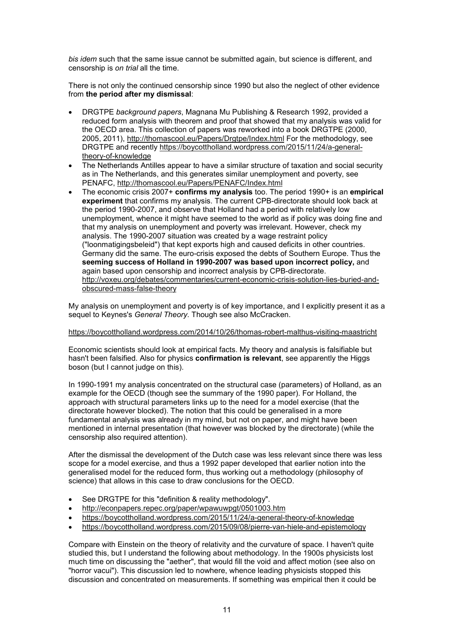*bis idem* such that the same issue cannot be submitted again, but science is different, and censorship is *on trial* all the time.

There is not only the continued censorship since 1990 but also the neglect of other evidence from **the period after my dismissal**:

- DRGTPE *background papers*, Magnana Mu Publishing & Research 1992, provided a reduced form analysis with theorem and proof that showed that my analysis was valid for the OECD area. This collection of papers was reworked into a book DRGTPE (2000, 2005, 2011), http://thomascool.eu/Papers/Drgtpe/Index.html For the methodology, see DRGTPE and recently https://boycottholland.wordpress.com/2015/11/24/a-generaltheory-of-knowledge
- The Netherlands Antilles appear to have a similar structure of taxation and social security as in The Netherlands, and this generates similar unemployment and poverty, see PENAFC, http://thomascool.eu/Papers/PENAFC/Index.html
- The economic crisis 2007+ **confirms my analysis** too. The period 1990+ is an **empirical experiment** that confirms my analysis. The current CPB-directorate should look back at the period 1990-2007, and observe that Holland had a period with relatively low unemployment, whence it might have seemed to the world as if policy was doing fine and that my analysis on unemployment and poverty was irrelevant. However, check my analysis. The 1990-2007 situation was created by a wage restraint policy ("loonmatigingsbeleid") that kept exports high and caused deficits in other countries. Germany did the same. The euro-crisis exposed the debts of Southern Europe. Thus the **seeming success of Holland in 1990-2007 was based upon incorrect policy,** and again based upon censorship and incorrect analysis by CPB-directorate. http://voxeu.org/debates/commentaries/current-economic-crisis-solution-lies-buried-andobscured-mass-false-theory

My analysis on unemployment and poverty is of key importance, and I explicitly present it as a sequel to Keynes's *General Theory.* Though see also McCracken.

#### https://boycottholland.wordpress.com/2014/10/26/thomas-robert-malthus-visiting-maastricht

Economic scientists should look at empirical facts. My theory and analysis is falsifiable but hasn't been falsified. Also for physics **confirmation is relevant**, see apparently the Higgs boson (but I cannot judge on this).

In 1990-1991 my analysis concentrated on the structural case (parameters) of Holland, as an example for the OECD (though see the summary of the 1990 paper). For Holland, the approach with structural parameters links up to the need for a model exercise (that the directorate however blocked). The notion that this could be generalised in a more fundamental analysis was already in my mind, but not on paper, and might have been mentioned in internal presentation (that however was blocked by the directorate) (while the censorship also required attention).

After the dismissal the development of the Dutch case was less relevant since there was less scope for a model exercise, and thus a 1992 paper developed that earlier notion into the generalised model for the reduced form, thus working out a methodology (philosophy of science) that allows in this case to draw conclusions for the OECD.

- See DRGTPE for this "definition & reality methodology".
- http://econpapers.repec.org/paper/wpawuwpgt/0501003.htm
- https://boycottholland.wordpress.com/2015/11/24/a-general-theory-of-knowledge
- https://boycottholland.wordpress.com/2015/09/08/pierre-van-hiele-and-epistemology

Compare with Einstein on the theory of relativity and the curvature of space. I haven't quite studied this, but I understand the following about methodology. In the 1900s physicists lost much time on discussing the "aether", that would fill the void and affect motion (see also on "horror vacui"). This discussion led to nowhere, whence leading physicists stopped this discussion and concentrated on measurements. If something was empirical then it could be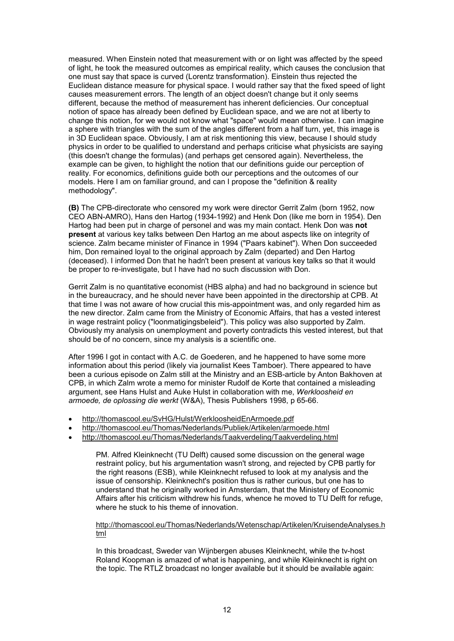measured. When Einstein noted that measurement with or on light was affected by the speed of light, he took the measured outcomes as empirical reality, which causes the conclusion that one must say that space is curved (Lorentz transformation). Einstein thus rejected the Euclidean distance measure for physical space. I would rather say that the fixed speed of light causes measurement errors. The length of an object doesn't change but it only seems different, because the method of measurement has inherent deficiencies. Our conceptual notion of space has already been defined by Euclidean space, and we are not at liberty to change this notion, for we would not know what "space" would mean otherwise. I can imagine a sphere with triangles with the sum of the angles different from a half turn, yet, this image is in 3D Euclidean space. Obviously, I am at risk mentioning this view, because I should study physics in order to be qualified to understand and perhaps criticise what physicists are saying (this doesn't change the formulas) (and perhaps get censored again). Nevertheless, the example can be given, to highlight the notion that our definitions guide our perception of reality. For economics, definitions guide both our perceptions and the outcomes of our models. Here I am on familiar ground, and can I propose the "definition & reality methodology".

**(B)** The CPB-directorate who censored my work were director Gerrit Zalm (born 1952, now CEO ABN-AMRO), Hans den Hartog (1934-1992) and Henk Don (like me born in 1954). Den Hartog had been put in charge of personel and was my main contact. Henk Don was **not present** at various key talks between Den Hartog an me about aspects like on integrity of science. Zalm became minister of Finance in 1994 ("Paars kabinet"). When Don succeeded him, Don remained loyal to the original approach by Zalm (departed) and Den Hartog (deceased). I informed Don that he hadn't been present at various key talks so that it would be proper to re-investigate, but I have had no such discussion with Don.

Gerrit Zalm is no quantitative economist (HBS alpha) and had no background in science but in the bureaucracy, and he should never have been appointed in the directorship at CPB. At that time I was not aware of how crucial this mis-appointment was, and only regarded him as the new director. Zalm came from the Ministry of Economic Affairs, that has a vested interest in wage restraint policy ("loonmatigingsbeleid"). This policy was also supported by Zalm. Obviously my analysis on unemployment and poverty contradicts this vested interest, but that should be of no concern, since my analysis is a scientific one.

After 1996 I got in contact with A.C. de Goederen, and he happened to have some more information about this period (likely via journalist Kees Tamboer). There appeared to have been a curious episode on Zalm still at the Ministry and an ESB-article by Anton Bakhoven at CPB, in which Zalm wrote a memo for minister Rudolf de Korte that contained a misleading argument, see Hans Hulst and Auke Hulst in collaboration with me, *Werkloosheid en armoede, de oplossing die werkt* (W&A), Thesis Publishers 1998, p 65-66.

- http://thomascool.eu/SvHG/Hulst/WerkloosheidEnArmoede.pdf
- http://thomascool.eu/Thomas/Nederlands/Publiek/Artikelen/armoede.html
- http://thomascool.eu/Thomas/Nederlands/Taakverdeling/Taakverdeling.html

PM. Alfred Kleinknecht (TU Delft) caused some discussion on the general wage restraint policy, but his argumentation wasn't strong, and rejected by CPB partly for the right reasons (ESB), while Kleinknecht refused to look at my analysis and the issue of censorship. Kleinknecht's position thus is rather curious, but one has to understand that he originally worked in Amsterdam, that the Ministery of Economic Affairs after his criticism withdrew his funds, whence he moved to TU Delft for refuge, where he stuck to his theme of innovation

http://thomascool.eu/Thomas/Nederlands/Wetenschap/Artikelen/KruisendeAnalyses.h tml

In this broadcast, Sweder van Wijnbergen abuses Kleinknecht, while the tv-host Roland Koopman is amazed of what is happening, and while Kleinknecht is right on the topic. The RTLZ broadcast no longer available but it should be available again: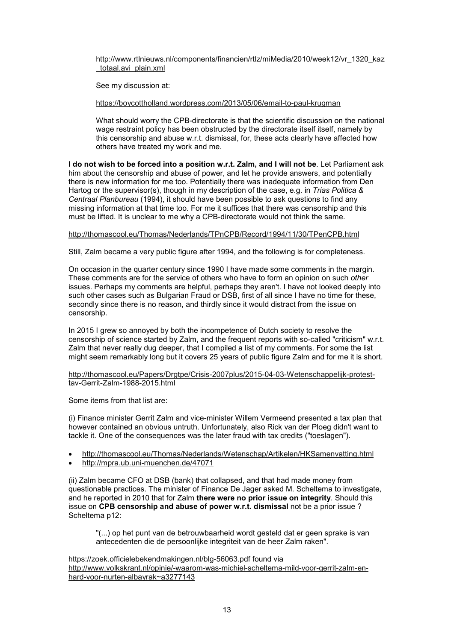http://www.rtlnieuws.nl/components/financien/rtlz/miMedia/2010/week12/vr\_1320\_kaz \_totaal.avi\_plain.xml

See my discussion at:

https://boycottholland.wordpress.com/2013/05/06/email-to-paul-krugman

What should worry the CPB-directorate is that the scientific discussion on the national wage restraint policy has been obstructed by the directorate itself itself, namely by this censorship and abuse w.r.t. dismissal, for, these acts clearly have affected how others have treated my work and me.

**I do not wish to be forced into a position w.r.t. Zalm, and I will not be**. Let Parliament ask him about the censorship and abuse of power, and let he provide answers, and potentially there is new information for me too. Potentially there was inadequate information from Den Hartog or the supervisor(s), though in my description of the case, e.g. in *Trias Politica & Centraal Planbureau* (1994), it should have been possible to ask questions to find any missing information at that time too. For me it suffices that there was censorship and this must be lifted. It is unclear to me why a CPB-directorate would not think the same.

# http://thomascool.eu/Thomas/Nederlands/TPnCPB/Record/1994/11/30/TPenCPB.html

Still, Zalm became a very public figure after 1994, and the following is for completeness.

On occasion in the quarter century since 1990 I have made some comments in the margin. These comments are for the service of others who have to form an opinion on such *other* issues. Perhaps my comments are helpful, perhaps they aren't. I have not looked deeply into such other cases such as Bulgarian Fraud or DSB, first of all since I have no time for these, secondly since there is no reason, and thirdly since it would distract from the issue on censorship.

In 2015 I grew so annoyed by both the incompetence of Dutch society to resolve the censorship of science started by Zalm, and the frequent reports with so-called "criticism" w.r.t. Zalm that never really dug deeper, that I compiled a list of my comments. For some the list might seem remarkably long but it covers 25 years of public figure Zalm and for me it is short.

http://thomascool.eu/Papers/Drgtpe/Crisis-2007plus/2015-04-03-Wetenschappelijk-protesttav-Gerrit-Zalm-1988-2015.html

Some items from that list are:

(i) Finance minister Gerrit Zalm and vice-minister Willem Vermeend presented a tax plan that however contained an obvious untruth. Unfortunately, also Rick van der Ploeg didn't want to tackle it. One of the consequences was the later fraud with tax credits ("toeslagen").

- http://thomascool.eu/Thomas/Nederlands/Wetenschap/Artikelen/HKSamenvatting.html
- http://mpra.ub.uni-muenchen.de/47071

(ii) Zalm became CFO at DSB (bank) that collapsed, and that had made money from questionable practices. The minister of Finance De Jager asked M. Scheltema to investigate, and he reported in 2010 that for Zalm **there were no prior issue on integrity**. Should this issue on **CPB censorship and abuse of power w.r.t. dismissal** not be a prior issue ? Scheltema p12:

"(...) op het punt van de betrouwbaarheid wordt gesteld dat er geen sprake is van antecedenten die de persoonlijke integriteit van de heer Zalm raken".

https://zoek.officielebekendmakingen.nl/blg-56063.pdf found via http://www.volkskrant.nl/opinie/-waarom-was-michiel-scheltema-mild-voor-gerrit-zalm-enhard-voor-nurten-albayrak~a3277143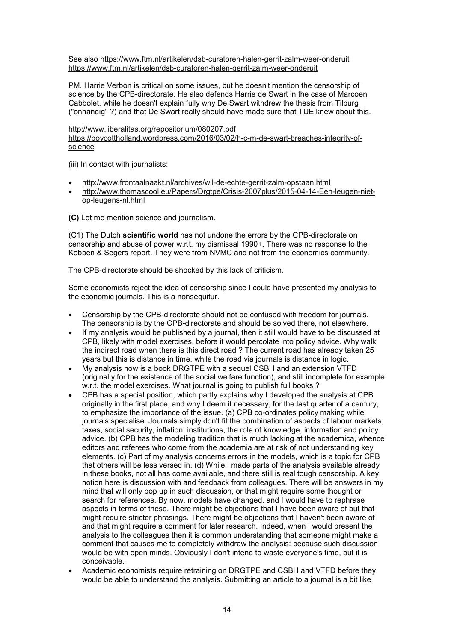See also https://www.ftm.nl/artikelen/dsb-curatoren-halen-gerrit-zalm-weer-onderuit https://www.ftm.nl/artikelen/dsb-curatoren-halen-gerrit-zalm-weer-onderuit

PM. Harrie Verbon is critical on some issues, but he doesn't mention the censorship of science by the CPB-directorate. He also defends Harrie de Swart in the case of Marcoen Cabbolet, while he doesn't explain fully why De Swart withdrew the thesis from Tilburg ("onhandig" ?) and that De Swart really should have made sure that TUE knew about this.

http://www.liberalitas.org/repositorium/080207.pdf

https://boycottholland.wordpress.com/2016/03/02/h-c-m-de-swart-breaches-integrity-ofscience

(iii) In contact with journalists:

- http://www.frontaalnaakt.nl/archives/wil-de-echte-gerrit-zalm-opstaan.html
- http://www.thomascool.eu/Papers/Dratpe/Crisis-2007plus/2015-04-14-Een-leugen-nietop-leugens-nl.html

**(C)** Let me mention science and journalism.

(C1) The Dutch **scientific world** has not undone the errors by the CPB-directorate on censorship and abuse of power w.r.t. my dismissal 1990+. There was no response to the Köbben & Segers report. They were from NVMC and not from the economics community.

The CPB-directorate should be shocked by this lack of criticism.

Some economists reject the idea of censorship since I could have presented my analysis to the economic journals. This is a nonsequitur.

- Censorship by the CPB-directorate should not be confused with freedom for journals. The censorship is by the CPB-directorate and should be solved there, not elsewhere.
- If my analysis would be published by a journal, then it still would have to be discussed at CPB, likely with model exercises, before it would percolate into policy advice. Why walk the indirect road when there is this direct road ? The current road has already taken 25 years but this is distance in time, while the road via journals is distance in logic.
- My analysis now is a book DRGTPE with a sequel CSBH and an extension VTFD (originally for the existence of the social welfare function), and still incomplete for example w.r.t. the model exercises. What journal is going to publish full books?
- CPB has a special position, which partly explains why I developed the analysis at CPB originally in the first place, and why I deem it necessary, for the last quarter of a century, to emphasize the importance of the issue. (a) CPB co-ordinates policy making while journals specialise. Journals simply don't fit the combination of aspects of labour markets, taxes, social security, inflation, institutions, the role of knowledge, information and policy advice. (b) CPB has the modeling tradition that is much lacking at the academica, whence editors and referees who come from the academia are at risk of not understanding key elements. (c) Part of my analysis concerns errors in the models, which is a topic for CPB that others will be less versed in. (d) While I made parts of the analysis available already in these books, not all has come available, and there still is real tough censorship. A key notion here is discussion with and feedback from colleagues. There will be answers in my mind that will only pop up in such discussion, or that might require some thought or search for references. By now, models have changed, and I would have to rephrase aspects in terms of these. There might be objections that I have been aware of but that might require stricter phrasings. There might be objections that I haven't been aware of and that might require a comment for later research. Indeed, when I would present the analysis to the colleagues then it is common understanding that someone might make a comment that causes me to completely withdraw the analysis: because such discussion would be with open minds. Obviously I don't intend to waste everyone's time, but it is conceivable.
- Academic economists require retraining on DRGTPE and CSBH and VTFD before they would be able to understand the analysis. Submitting an article to a journal is a bit like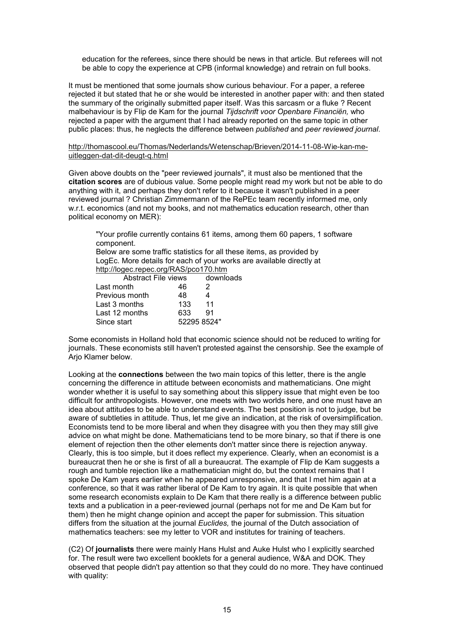education for the referees, since there should be news in that article. But referees will not be able to copy the experience at CPB (informal knowledge) and retrain on full books.

It must be mentioned that some journals show curious behaviour. For a paper, a referee rejected it but stated that he or she would be interested in another paper with: and then stated the summary of the originally submitted paper itself. Was this sarcasm or a fluke ? Recent malbehaviour is by Flip de Kam for the journal *Tijdschrift voor Openbare Financiën,* who rejected a paper with the argument that I had already reported on the same topic in other public places: thus, he neglects the difference between *published* and *peer reviewed journal*.

#### http://thomascool.eu/Thomas/Nederlands/Wetenschap/Brieven/2014-11-08-Wie-kan-meuitleggen-dat-dit-deugt-q.html

Given above doubts on the "peer reviewed journals", it must also be mentioned that the **citation scores** are of dubious value. Some people might read my work but not be able to do anything with it, and perhaps they don't refer to it because it wasn't published in a peer reviewed journal ? Christian Zimmermann of the RePEc team recently informed me, only w.r.t. economics (and not my books, and not mathematics education research, other than political economy on MER):

"Your profile currently contains 61 items, among them 60 papers, 1 software component.

Below are some traffic statistics for all these items, as provided by LogEc. More details for each of your works are available directly at http://logec.repec.org/RAS/pco170.htm

| <b>Abstract File views</b> |     | downloads   |  |
|----------------------------|-----|-------------|--|
| Last month                 | 46  | -2          |  |
| Previous month             | 48  | 4           |  |
| Last 3 months              | 133 | 11          |  |
| Last 12 months             | 633 | 91          |  |
| Since start                |     | 52295 8524" |  |

Some economists in Holland hold that economic science should not be reduced to writing for journals. These economists still haven't protested against the censorship. See the example of Arjo Klamer below.

Looking at the **connections** between the two main topics of this letter, there is the angle concerning the difference in attitude between economists and mathematicians. One might wonder whether it is useful to say something about this slippery issue that might even be too difficult for anthropologists. However, one meets with two worlds here, and one must have an idea about attitudes to be able to understand events. The best position is not to judge, but be aware of subtleties in attitude. Thus, let me give an indication, at the risk of oversimplification. Economists tend to be more liberal and when they disagree with you then they may still give advice on what might be done. Mathematicians tend to be more binary, so that if there is one element of rejection then the other elements don't matter since there is rejection anyway. Clearly, this is too simple, but it does reflect my experience. Clearly, when an economist is a bureaucrat then he or she is first of all a bureaucrat. The example of Flip de Kam suggests a rough and tumble rejection like a mathematician might do, but the context remains that I spoke De Kam years earlier when he appeared unresponsive, and that I met him again at a conference, so that it was rather liberal of De Kam to try again. It is quite possible that when some research economists explain to De Kam that there really is a difference between public texts and a publication in a peer-reviewed journal (perhaps not for me and De Kam but for them) then he might change opinion and accept the paper for submission. This situation differs from the situation at the journal *Euclides,* the journal of the Dutch association of mathematics teachers: see my letter to VOR and institutes for training of teachers.

(C2) Of **journalists** there were mainly Hans Hulst and Auke Hulst who I explicitly searched for. The result were two excellent booklets for a general audience, W&A and DOK. They observed that people didn't pay attention so that they could do no more. They have continued with quality: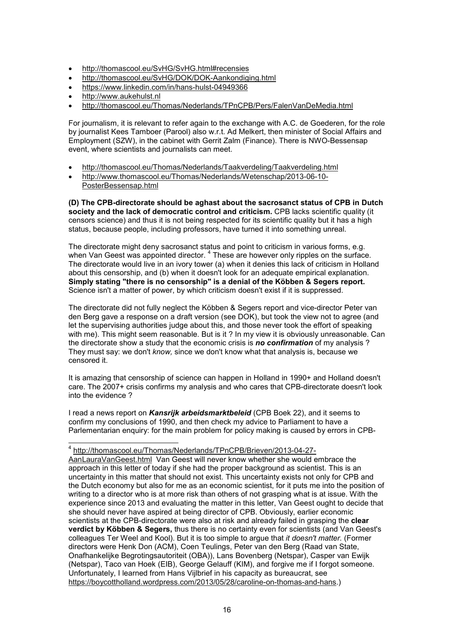- http://thomascool.eu/SvHG/SvHG.html#recensies
- http://thomascool.eu/SvHG/DOK/DOK-Aankondiging.html
- https://www.linkedin.com/in/hans-hulst-04949366
- http://www.aukehulst.nl
- http://thomascool.eu/Thomas/Nederlands/TPnCPB/Pers/FalenVanDeMedia.html

For journalism, it is relevant to refer again to the exchange with A.C. de Goederen, for the role by journalist Kees Tamboer (Parool) also w.r.t. Ad Melkert, then minister of Social Affairs and Employment (SZW), in the cabinet with Gerrit Zalm (Finance). There is NWO-Bessensap event, where scientists and journalists can meet.

- http://thomascool.eu/Thomas/Nederlands/Taakverdeling/Taakverdeling.html
- http://www.thomascool.eu/Thomas/Nederlands/Wetenschap/2013-06-10- PosterBessensap.html

**(D) The CPB-directorate should be aghast about the sacrosanct status of CPB in Dutch society and the lack of democratic control and criticism.** CPB lacks scientific quality (it censors science) and thus it is not being respected for its scientific quality but it has a high status, because people, including professors, have turned it into something unreal.

The directorate might deny sacrosanct status and point to criticism in various forms, e.g. when Van Geest was appointed director.  $^4$  These are however only ripples on the surface. The directorate would live in an ivory tower (a) when it denies this lack of criticism in Holland about this censorship, and (b) when it doesn't look for an adequate empirical explanation. **Simply stating "there is no censorship" is a denial of the Köbben & Segers report.** Science isn't a matter of power, by which criticism doesn't exist if it is suppressed.

The directorate did not fully neglect the Köbben & Segers report and vice-director Peter van den Berg gave a response on a draft version (see DOK), but took the view not to agree (and let the supervising authorities judge about this, and those never took the effort of speaking with me). This might seem reasonable. But is it ? In my view it is obviously unreasonable. Can the directorate show a study that the economic crisis is *no confirmation* of my analysis ? They must say: we don't *know,* since we don't know what that analysis is, because we censored it.

It is amazing that censorship of science can happen in Holland in 1990+ and Holland doesn't care. The 2007+ crisis confirms my analysis and who cares that CPB-directorate doesn't look into the evidence ?

I read a news report on *Kansrijk arbeidsmarktbeleid* (CPB Boek 22), and it seems to confirm my conclusions of 1990, and then check my advice to Parliament to have a Parlementarian enquiry: for the main problem for policy making is caused by errors in CPB-

 4 http://thomascool.eu/Thomas/Nederlands/TPnCPB/Brieven/2013-04-27-

AanLauraVanGeest.html Van Geest will never know whether she would embrace the approach in this letter of today if she had the proper background as scientist. This is an uncertainty in this matter that should not exist. This uncertainty exists not only for CPB and the Dutch economy but also for me as an economic scientist, for it puts me into the position of writing to a director who is at more risk than others of not grasping what is at issue. With the experience since 2013 and evaluating the matter in this letter, Van Geest ought to decide that she should never have aspired at being director of CPB. Obviously, earlier economic scientists at the CPB-directorate were also at risk and already failed in grasping the **clear verdict by Köbben & Segers,** thus there is no certainty even for scientists (and Van Geest's colleagues Ter Weel and Kool). But it is too simple to argue that *it doesn't matter.* (Former directors were Henk Don (ACM), Coen Teulings, Peter van den Berg (Raad van State, Onafhankelijke Begrotingsautoriteit (OBA)), Lans Bovenberg (Netspar), Casper van Ewijk (Netspar), Taco van Hoek (EIB), George Gelauff (KIM), and forgive me if I forgot someone. Unfortunately, I learned from Hans Vijlbrief in his capacity as bureaucrat, see https://boycottholland.wordpress.com/2013/05/28/caroline-on-thomas-and-hans.)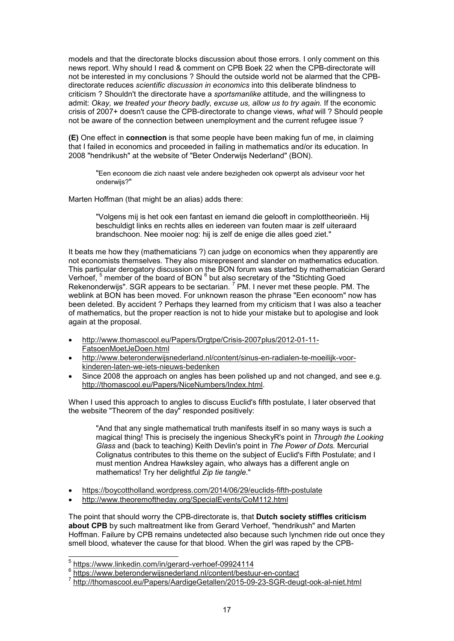models and that the directorate blocks discussion about those errors. I only comment on this news report. Why should I read & comment on CPB Boek 22 when the CPB-directorate will not be interested in my conclusions ? Should the outside world not be alarmed that the CPBdirectorate reduces *scientific discussion in economics* into this deliberate blindness to criticism ? Shouldn't the directorate have a *sportsmanlike* attitude, and the willingness to admit: *Okay, we treated your theory badly, excuse us, allow us to try again.* If the economic crisis of 2007+ doesn't cause the CPB-directorate to change views, *what* will ? Should people not be aware of the connection between unemployment and the current refugee issue ?

**(E)** One effect in **connection** is that some people have been making fun of me, in claiming that I failed in economics and proceeded in failing in mathematics and/or its education. In 2008 "hendrikush" at the website of "Beter Onderwijs Nederland" (BON).

"Een econoom die zich naast vele andere bezigheden ook opwerpt als adviseur voor het onderwijs?"

Marten Hoffman (that might be an alias) adds there:

"Volgens mij is het ook een fantast en iemand die gelooft in complottheorieën. Hij beschuldigt links en rechts alles en iedereen van fouten maar is zelf uiteraard brandschoon. Nee mooier nog: hij is zelf de enige die alles goed ziet."

It beats me how they (mathematicians ?) can judge on economics when they apparently are not economists themselves. They also misrepresent and slander on mathematics education. This particular derogatory discussion on the BON forum was started by mathematician Gerard Verhoef, <sup>5</sup> member of the board of BON <sup>6</sup> but also secretary of the "Stichting Goed Rekenonderwijs". SGR appears to be sectarian. <sup>7</sup> PM. I never met these people. PM. The weblink at BON has been moved. For unknown reason the phrase "Een econoom" now has been deleted. By accident ? Perhaps they learned from my criticism that I was also a teacher of mathematics, but the proper reaction is not to hide your mistake but to apologise and look again at the proposal.

- http://www.thomascool.eu/Papers/Drgtpe/Crisis-2007plus/2012-01-11- FatsoenMoetJeDoen.html
- http://www.beteronderwijsnederland.nl/content/sinus-en-radialen-te-moeilijk-voorkinderen-laten-we-iets-nieuws-bedenken
- Since 2008 the approach on angles has been polished up and not changed, and see e.g. http://thomascool.eu/Papers/NiceNumbers/Index.html.

When I used this approach to angles to discuss Euclid's fifth postulate, I later observed that the website "Theorem of the day" responded positively:

"And that any single mathematical truth manifests itself in so many ways is such a magical thing! This is precisely the ingenious SheckyR's point in *Through the Looking Glass* and (back to teaching) Keith Devlin's point in *The Power of Dots.* Mercurial Colignatus contributes to this theme on the subject of Euclid's Fifth Postulate; and I must mention Andrea Hawksley again, who always has a different angle on mathematics! Try her delightful *Zip tie tangle*."

- https://boycottholland.wordpress.com/2014/06/29/euclids-fifth-postulate
- http://www.theoremoftheday.org/SpecialEvents/CoM112.html

The point that should worry the CPB-directorate is, that **Dutch society stiffles criticism about CPB** by such maltreatment like from Gerard Verhoef, "hendrikush" and Marten Hoffman. Failure by CPB remains undetected also because such lynchmen ride out once they smell blood, whatever the cause for that blood. When the girl was raped by the CPB-

 5 https://www.linkedin.com/in/gerard-verhoef-09924114

<sup>&</sup>lt;sup>6</sup> https://www.beteronderwijsnederland.nl/content/bestuur-en-contact<br>7 http://themaseseal.ou/Peners/AerdigeCetellen/2015.00.23.SCP.dev

http://thomascool.eu/Papers/AardigeGetallen/2015-09-23-SGR-deugt-ook-al-niet.html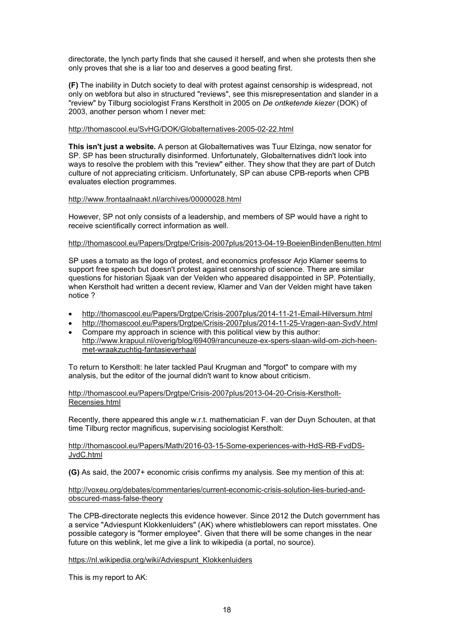directorate, the lynch party finds that she caused it herself, and when she protests then she only proves that she is a liar too and deserves a good beating first.

**(F)** The inability in Dutch society to deal with protest against censorship is widespread, not only on webfora but also in structured "reviews", see this misrepresentation and slander in a "review" by Tilburg sociologist Frans Kerstholt in 2005 on *De ontketende kiezer* (DOK) of 2003, another person whom I never met:

## http://thomascool.eu/SvHG/DOK/Globalternatives-2005-02-22.html

**This isn't just a website.** A person at Globalternatives was Tuur Elzinga, now senator for SP. SP has been structurally disinformed. Unfortunately, Globalternatives didn't look into ways to resolve the problem with this "review" either. They show that they are part of Dutch culture of not appreciating criticism. Unfortunately, SP can abuse CPB-reports when CPB evaluates election programmes.

# http://www.frontaalnaakt.nl/archives/00000028.html

However, SP not only consists of a leadership, and members of SP would have a right to receive scientifically correct information as well.

#### http://thomascool.eu/Papers/Dratpe/Crisis-2007plus/2013-04-19-BoeienBindenBenutten.html

SP uses a tomato as the logo of protest, and economics professor Arjo Klamer seems to support free speech but doesn't protest against censorship of science. There are similar questions for historian Sjaak van der Velden who appeared disappointed in SP. Potentially, when Kerstholt had written a decent review, Klamer and Van der Velden might have taken notice ?

- http://thomascool.eu/Papers/Drgtpe/Crisis-2007plus/2014-11-21-Email-Hilversum.html
- http://thomascool.eu/Papers/Drgtpe/Crisis-2007plus/2014-11-25-Vragen-aan-SvdV.html
- Compare my approach in science with this political view by this author: http://www.krapuul.nl/overig/blog/69409/rancuneuze-ex-spers-slaan-wild-om-zich-heenmet-wraakzuchtig-fantasieverhaal

To return to Kerstholt: he later tackled Paul Krugman and "forgot" to compare with my analysis, but the editor of the journal didn't want to know about criticism.

http://thomascool.eu/Papers/Drgtpe/Crisis-2007plus/2013-04-20-Crisis-Kerstholt-Recensies.html

Recently, there appeared this angle w.r.t. mathematician F. van der Duyn Schouten, at that time Tilburg rector magnificus, supervising sociologist Kerstholt:

#### http://thomascool.eu/Papers/Math/2016-03-15-Some-experiences-with-HdS-RB-FvdDS-JvdC.html

**(G)** As said, the 2007+ economic crisis confirms my analysis. See my mention of this at:

#### http://voxeu.org/debates/commentaries/current-economic-crisis-solution-lies-buried-andobscured-mass-false-theory

The CPB-directorate neglects this evidence however. Since 2012 the Dutch government has a service "Adviespunt Klokkenluiders" (AK) where whistleblowers can report misstates. One possible category is "former employee". Given that there will be some changes in the near future on this weblink, let me give a link to wikipedia (a portal, no source).

#### https://nl.wikipedia.org/wiki/Adviespunt\_Klokkenluiders

This is my report to AK: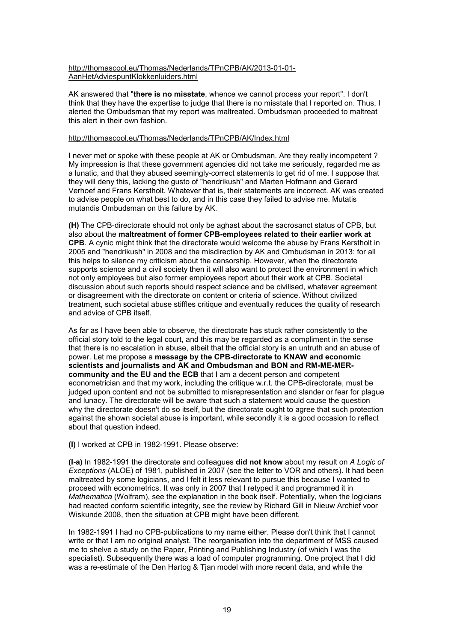## http://thomascool.eu/Thomas/Nederlands/TPnCPB/AK/2013-01-01- AanHetAdviespuntKlokkenluiders.html

AK answered that "**there is no misstate**, whence we cannot process your report". I don't think that they have the expertise to judge that there is no misstate that I reported on. Thus, I alerted the Ombudsman that my report was maltreated. Ombudsman proceeded to maltreat this alert in their own fashion.

#### http://thomascool.eu/Thomas/Nederlands/TPnCPB/AK/Index.html

I never met or spoke with these people at AK or Ombudsman. Are they really incompetent ? My impression is that these government agencies did not take me seriously, regarded me as a lunatic, and that they abused seemingly-correct statements to get rid of me. I suppose that they will deny this, lacking the gusto of "hendrikush" and Marten Hofmann and Gerard Verhoef and Frans Kerstholt. Whatever that is, their statements are incorrect. AK was created to advise people on what best to do, and in this case they failed to advise me. Mutatis mutandis Ombudsman on this failure by AK.

**(H)** The CPB-directorate should not only be aghast about the sacrosanct status of CPB, but also about the **maltreatment of former CPB-employees related to their earlier work at CPB**. A cynic might think that the directorate would welcome the abuse by Frans Kerstholt in 2005 and "hendrikush" in 2008 and the misdirection by AK and Ombudsman in 2013: for all this helps to silence my criticism about the censorship. However, when the directorate supports science and a civil society then it will also want to protect the environment in which not only employees but also former employees report about their work at CPB. Societal discussion about such reports should respect science and be civilised, whatever agreement or disagreement with the directorate on content or criteria of science. Without civilized treatment, such societal abuse stiffles critique and eventually reduces the quality of research and advice of CPB itself.

As far as I have been able to observe, the directorate has stuck rather consistently to the official story told to the legal court, and this may be regarded as a compliment in the sense that there is no escalation in abuse, albeit that the official story is an untruth and an abuse of power. Let me propose a **message by the CPB-directorate to KNAW and economic scientists and journalists and AK and Ombudsman and BON and RM-ME-MERcommunity and the EU and the ECB** that I am a decent person and competent econometrician and that my work, including the critique w.r.t. the CPB-directorate, must be judged upon content and not be submitted to misrepresentation and slander or fear for plague and lunacy. The directorate will be aware that such a statement would cause the question why the directorate doesn't do so itself, but the directorate ought to agree that such protection against the shown societal abuse is important, while secondly it is a good occasion to reflect about that question indeed.

**(I)** I worked at CPB in 1982-1991. Please observe:

**(I-a)** In 1982-1991 the directorate and colleagues **did not know** about my result on *A Logic of Exceptions* (ALOE) of 1981, published in 2007 (see the letter to VOR and others). It had been maltreated by some logicians, and I felt it less relevant to pursue this because I wanted to proceed with econometrics. It was only in 2007 that I retyped it and programmed it in *Mathematica* (Wolfram), see the explanation in the book itself. Potentially, when the logicians had reacted conform scientific integrity, see the review by Richard Gill in Nieuw Archief voor Wiskunde 2008, then the situation at CPB might have been different.

In 1982-1991 I had no CPB-publications to my name either. Please don't think that I cannot write or that I am no original analyst. The reorganisation into the department of MSS caused me to shelve a study on the Paper, Printing and Publishing Industry (of which I was the specialist). Subsequently there was a load of computer programming. One project that I did was a re-estimate of the Den Hartog & Tjan model with more recent data, and while the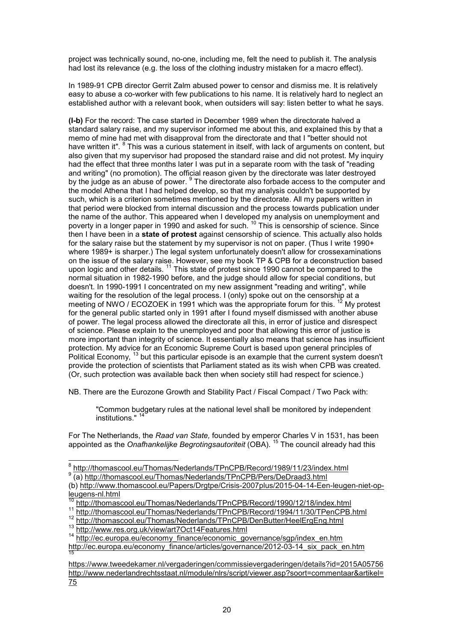project was technically sound, no-one, including me, felt the need to publish it. The analysis had lost its relevance (e.g. the loss of the clothing industry mistaken for a macro effect).

In 1989-91 CPB director Gerrit Zalm abused power to censor and dismiss me. It is relatively easy to abuse a co-worker with few publications to his name. It is relatively hard to neglect an established author with a relevant book, when outsiders will say: listen better to what he says.

**(I-b)** For the record: The case started in December 1989 when the directorate halved a standard salary raise, and my supervisor informed me about this, and explained this by that a memo of mine had met with disapproval from the directorate and that I "better should not have written it". <sup>8</sup> This was a curious statement in itself, with lack of arguments on content, but also given that my supervisor had proposed the standard raise and did not protest. My inquiry had the effect that three months later I was put in a separate room with the task of "reading and writing" (no promotion). The official reason given by the directorate was later destroyed by the judge as an abuse of power. <sup>9</sup> The directorate also forbade access to the computer and the model Athena that I had helped develop, so that my analysis couldn't be supported by such, which is a criterion sometimes mentioned by the directorate. All my papers written in that period were blocked from internal discussion and the process towards publication under the name of the author. This appeared when I developed my analysis on unemployment and poverty in a longer paper in 1990 and asked for such.<sup>10</sup> This is censorship of science. Since then I have been in a **state of protest** against censorship of science. This actually also holds for the salary raise but the statement by my supervisor is not on paper. (Thus I write 1990+ where 1989+ is sharper.) The legal system unfortunately doesn't allow for crossexaminations on the issue of the salary raise. However, see my book TP & CPB for a deconstruction based upon logic and other details.<sup>11</sup> This state of protest since 1990 cannot be compared to the normal situation in 1982-1990 before, and the judge should allow for special conditions, but doesn't. In 1990-1991 I concentrated on my new assignment "reading and writing", while waiting for the resolution of the legal process. I (only) spoke out on the censorship at a meeting of NWO / ECOZOEK in 1991 which was the appropriate forum for this.<sup>12</sup> My protest for the general public started only in 1991 after I found myself dismissed with another abuse of power. The legal process allowed the directorate all this, in error of justice and disrespect of science. Please explain to the unemployed and poor that allowing this error of justice is more important than integrity of science. It essentially also means that science has insufficient protection. My advice for an Economic Supreme Court is based upon general principles of Political Economy, <sup>13</sup> but this particular episode is an example that the current system doesn't provide the protection of scientists that Parliament stated as its wish when CPB was created. (Or, such protection was available back then when society still had respect for science.)

NB. There are the Eurozone Growth and Stability Pact / Fiscal Compact / Two Pack with:

"Common budgetary rules at the national level shall be monitored by independent institutions." <sup>14</sup>

For The Netherlands, the *Raad van State,* founded by emperor Charles V in 1531, has been appointed as the *Onafhankelijke Begrotingsautoriteit* (OBA). <sup>15</sup> The council already had this

<sup>11</sup> http://thomascool.eu/Thomas/Nederlands/TPnCPB/Record/1994/11/30/TPenCPB.html

 8 http://thomascool.eu/Thomas/Nederlands/TPnCPB/Record/1989/11/23/index.html

<sup>&</sup>lt;sup>9</sup> (a) http://thomascool.eu/Thomas/Nederlands/TPnCPB/Pers/DeDraad3.html

<sup>(</sup>b) http://www.thomascool.eu/Papers/Drgtpe/Crisis-2007plus/2015-04-14-Een-leugen-niet-opleugens-nl.html

<sup>10</sup> http://thomascool.eu/Thomas/Nederlands/TPnCPB/Record/1990/12/18/index.html

<sup>12</sup> http://thomascool.eu/Thomas/Nederlands/TPnCPB/DenButter/HeelErgEng.html 13 http://www.res.org.uk/view/art7Oct14Features.html

<sup>14</sup> http://ec.europa.eu/economy\_finance/economic\_governance/sgp/index\_en.htm http://ec.europa.eu/economy\_finance/articles/governance/2012-03-14\_six\_pack\_en.htm 15

https://www.tweedekamer.nl/vergaderingen/commissievergaderingen/details?id=2015A05756 http://www.nederlandrechtsstaat.nl/module/nlrs/script/viewer.asp?soort=commentaar&artikel= 75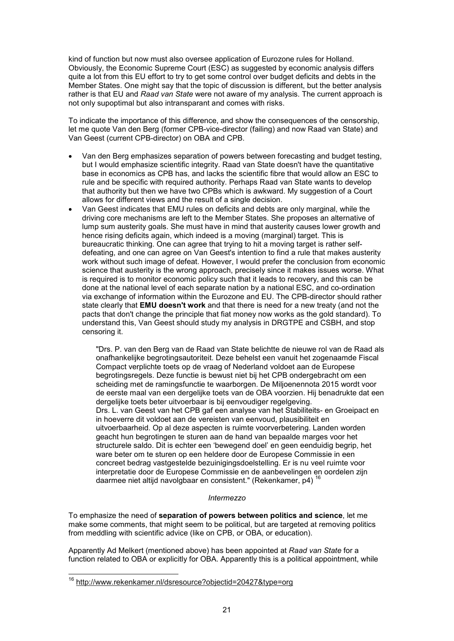kind of function but now must also oversee application of Eurozone rules for Holland. Obviously, the Economic Supreme Court (ESC) as suggested by economic analysis differs quite a lot from this EU effort to try to get some control over budget deficits and debts in the Member States. One might say that the topic of discussion is different, but the better analysis rather is that EU and *Raad van State* were not aware of my analysis. The current approach is not only supoptimal but also intransparant and comes with risks.

To indicate the importance of this difference, and show the consequences of the censorship, let me quote Van den Berg (former CPB-vice-director (failing) and now Raad van State) and Van Geest (current CPB-director) on OBA and CPB.

- Van den Berg emphasizes separation of powers between forecasting and budget testing, but I would emphasize scientific integrity. Raad van State doesn't have the quantitative base in economics as CPB has, and lacks the scientific fibre that would allow an ESC to rule and be specific with required authority. Perhaps Raad van State wants to develop that authority but then we have two CPBs which is awkward. My suggestion of a Court allows for different views and the result of a single decision.
- Van Geest indicates that EMU rules on deficits and debts are only marginal, while the driving core mechanisms are left to the Member States. She proposes an alternative of lump sum austerity goals. She must have in mind that austerity causes lower growth and hence rising deficits again, which indeed is a moving (marginal) target. This is bureaucratic thinking. One can agree that trying to hit a moving target is rather selfdefeating, and one can agree on Van Geest's intention to find a rule that makes austerity work without such image of defeat. However, I would prefer the conclusion from economic science that austerity is the wrong approach, precisely since it makes issues worse. What is required is to monitor economic policy such that it leads to recovery, and this can be done at the national level of each separate nation by a national ESC, and co-ordination via exchange of information within the Eurozone and EU. The CPB-director should rather state clearly that **EMU doesn't work** and that there is need for a new treaty (and not the pacts that don't change the principle that fiat money now works as the gold standard). To understand this, Van Geest should study my analysis in DRGTPE and CSBH, and stop censoring it.

"Drs. P. van den Berg van de Raad van State belichtte de nieuwe rol van de Raad als onafhankelijke begrotingsautoriteit. Deze behelst een vanuit het zogenaamde Fiscal Compact verplichte toets op de vraag of Nederland voldoet aan de Europese begrotingsregels. Deze functie is bewust niet bij het CPB ondergebracht om een scheiding met de ramingsfunctie te waarborgen. De Miljoenennota 2015 wordt voor de eerste maal van een dergelijke toets van de OBA voorzien. Hij benadrukte dat een dergelijke toets beter uitvoerbaar is bij eenvoudiger regelgeving. Drs. L. van Geest van het CPB gaf een analyse van het Stabiliteits- en Groeipact en in hoeverre dit voldoet aan de vereisten van eenvoud, plausibiliteit en uitvoerbaarheid. Op al deze aspecten is ruimte voorverbetering. Landen worden geacht hun begrotingen te sturen aan de hand van bepaalde marges voor het structurele saldo. Dit is echter een 'bewegend doel' en geen eenduidig begrip, het ware beter om te sturen op een heldere door de Europese Commissie in een concreet bedrag vastgestelde bezuinigingsdoelstelling. Er is nu veel ruimte voor interpretatie door de Europese Commissie en de aanbevelingen en oordelen zijn daarmee niet altijd navolgbaar en consistent." (Rekenkamer, p4) <sup>16</sup>

#### *Intermezzo*

To emphasize the need of **separation of powers between politics and science**, let me make some comments, that might seem to be political, but are targeted at removing politics from meddling with scientific advice (like on CPB, or OBA, or education).

Apparently Ad Melkert (mentioned above) has been appointed at *Raad van State* for a function related to OBA or explicitly for OBA. Apparently this is a political appointment, while

j

<sup>16</sup> http://www.rekenkamer.nl/dsresource?objectid=20427&type=org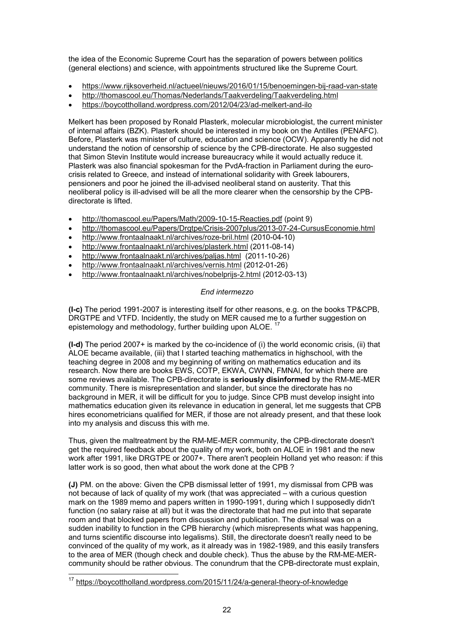the idea of the Economic Supreme Court has the separation of powers between politics (general elections) and science, with appointments structured like the Supreme Court.

- https://www.rijksoverheid.nl/actueel/nieuws/2016/01/15/benoemingen-bij-raad-van-state
- http://thomascool.eu/Thomas/Nederlands/Taakverdeling/Taakverdeling.html
- https://boycottholland.wordpress.com/2012/04/23/ad-melkert-and-ilo

Melkert has been proposed by Ronald Plasterk, molecular microbiologist, the current minister of internal affairs (BZK). Plasterk should be interested in my book on the Antilles (PENAFC). Before, Plasterk was minister of culture, education and science (OCW). Apparently he did not understand the notion of censorship of science by the CPB-directorate. He also suggested that Simon Stevin Institute would increase bureaucracy while it would actually reduce it. Plasterk was also financial spokesman for the PvdA-fraction in Parliament during the eurocrisis related to Greece, and instead of international solidarity with Greek labourers, pensioners and poor he joined the ill-advised neoliberal stand on austerity. That this neoliberal policy is ill-advised will be all the more clearer when the censorship by the CPBdirectorate is lifted.

- http://thomascool.eu/Papers/Math/2009-10-15-Reacties.pdf (point 9)
- http://thomascool.eu/Papers/Drgtpe/Crisis-2007plus/2013-07-24-CursusEconomie.html
- http://www.frontaalnaakt.nl/archives/roze-bril.html (2010-04-10)
- http://www.frontaalnaakt.nl/archives/plasterk.html (2011-08-14)
- http://www.frontaalnaakt.nl/archives/paljas.html (2011-10-26)
- http://www.frontaalnaakt.nl/archives/vernis.html (2012-01-26)
- http://www.frontaalnaakt.nl/archives/nobelprijs-2.html (2012-03-13)

# *End intermezzo*

**(I-c)** The period 1991-2007 is interesting itself for other reasons, e.g. on the books TP&CPB, DRGTPE and VTFD. Incidently, the study on MER caused me to a further suggestion on epistemology and methodology, further building upon ALOE.<sup>17</sup>

**(I-d)** The period 2007+ is marked by the co-incidence of (i) the world economic crisis, (ii) that ALOE became available, (iii) that I started teaching mathematics in highschool, with the teaching degree in 2008 and my beginning of writing on mathematics education and its research. Now there are books EWS, COTP, EKWA, CWNN, FMNAI, for which there are some reviews available. The CPB-directorate is **seriously disinformed** by the RM-ME-MER community. There is misrepresentation and slander, but since the directorate has no background in MER, it will be difficult for you to judge. Since CPB must develop insight into mathematics education given its relevance in education in general, let me suggests that CPB hires econometricians qualified for MER, if those are not already present, and that these look into my analysis and discuss this with me.

Thus, given the maltreatment by the RM-ME-MER community, the CPB-directorate doesn't get the required feedback about the quality of my work, both on ALOE in 1981 and the new work after 1991, like DRGTPE or 2007+. There aren't peoplein Holland yet who reason: if this latter work is so good, then what about the work done at the CPB ?

**(J)** PM. on the above: Given the CPB dismissal letter of 1991, my dismissal from CPB was not because of lack of quality of my work (that was appreciated – with a curious question mark on the 1989 memo and papers written in 1990-1991, during which I supposedly didn't function (no salary raise at all) but it was the directorate that had me put into that separate room and that blocked papers from discussion and publication. The dismissal was on a sudden inability to function in the CPB hierarchy (which misrepresents what was happening, and turns scientific discourse into legalisms). Still, the directorate doesn't really need to be convinced of the quality of my work, as it already was in 1982-1989, and this easily transfers to the area of MER (though check and double check). Thus the abuse by the RM-ME-MERcommunity should be rather obvious. The conundrum that the CPB-directorate must explain,

j <sup>17</sup> https://boycottholland.wordpress.com/2015/11/24/a-general-theory-of-knowledge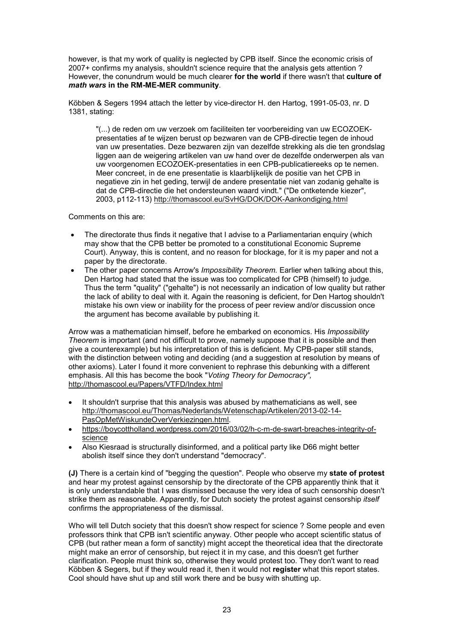however, is that my work of quality is neglected by CPB itself. Since the economic crisis of 2007+ confirms my analysis, shouldn't science require that the analysis gets attention ? However, the conundrum would be much clearer **for the world** if there wasn't that **culture of** *math wars* **in the RM-ME-MER community**.

Köbben & Segers 1994 attach the letter by vice-director H. den Hartog, 1991-05-03, nr. D 1381, stating:

"(...) de reden om uw verzoek om faciliteiten ter voorbereiding van uw ECOZOEKpresentaties af te wijzen berust op bezwaren van de CPB-directie tegen de inhoud van uw presentaties. Deze bezwaren zijn van dezelfde strekking als die ten grondslag liggen aan de weigering artikelen van uw hand over de dezelfde onderwerpen als van uw voorgenomen ECOZOEK-presentaties in een CPB-publicatiereeks op te nemen. Meer concreet, in de ene presentatie is klaarblijkelijk de positie van het CPB in negatieve zin in het geding, terwijl de andere presentatie niet van zodanig gehalte is dat de CPB-directie die het ondersteunen waard vindt." ("De ontketende kiezer", 2003, p112-113) http://thomascool.eu/SvHG/DOK/DOK-Aankondiging.html

Comments on this are:

- The directorate thus finds it negative that I advise to a Parliamentarian enquiry (which may show that the CPB better be promoted to a constitutional Economic Supreme Court). Anyway, this is content, and no reason for blockage, for it is my paper and not a paper by the directorate.
- The other paper concerns Arrow's *Impossibility Theorem.* Earlier when talking about this, Den Hartog had stated that the issue was too complicated for CPB (himself) to judge. Thus the term "quality" ("gehalte") is not necessarily an indication of low quality but rather the lack of ability to deal with it. Again the reasoning is deficient, for Den Hartog shouldn't mistake his own view or inability for the process of peer review and/or discussion once the argument has become available by publishing it.

Arrow was a mathematician himself, before he embarked on economics. His *Impossibility Theorem* is important (and not difficult to prove, namely suppose that it is possible and then give a counterexample) but his interpretation of this is deficient. My CPB-paper still stands, with the distinction between voting and deciding (and a suggestion at resolution by means of other axioms). Later I found it more convenient to rephrase this debunking with a different emphasis. All this has become the book "*Voting Theory for Democracy",* http://thomascool.eu/Papers/VTFD/Index.html

- It shouldn't surprise that this analysis was abused by mathematicians as well, see http://thomascool.eu/Thomas/Nederlands/Wetenschap/Artikelen/2013-02-14- PasOpMetWiskundeOverVerkiezingen.html.
- https://boycottholland.wordpress.com/2016/03/02/h-c-m-de-swart-breaches-integrity-ofscience
- Also Kiesraad is structurally disinformed, and a political party like D66 might better abolish itself since they don't understand "democracy".

**(J)** There is a certain kind of "begging the question". People who observe my **state of protest** and hear my protest against censorship by the directorate of the CPB apparently think that it is only understandable that I was dismissed because the very idea of such censorship doesn't strike them as reasonable. Apparently, for Dutch society the protest against censorship *itself* confirms the appropriateness of the dismissal.

Who will tell Dutch society that this doesn't show respect for science ? Some people and even professors think that CPB isn't scientific anyway. Other people who accept scientific status of CPB (but rather mean a form of sanctity) might accept the theoretical idea that the directorate might make an error of censorship, but reject it in my case, and this doesn't get further clarification. People must think so, otherwise they would protest too. They don't want to read Köbben & Segers, but if they would read it, then it would not **register** what this report states. Cool should have shut up and still work there and be busy with shutting up.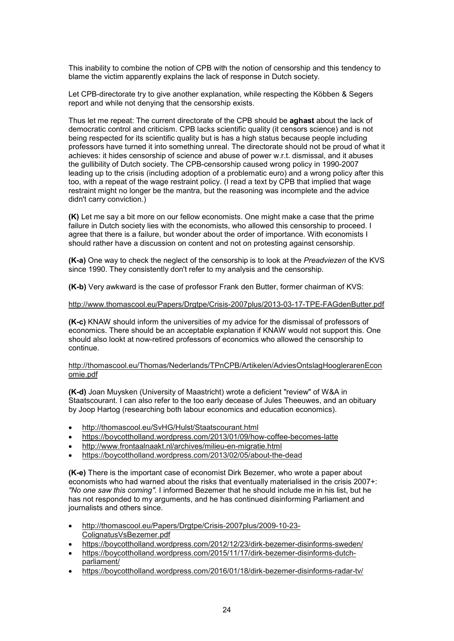This inability to combine the notion of CPB with the notion of censorship and this tendency to blame the victim apparently explains the lack of response in Dutch society.

Let CPB-directorate try to give another explanation, while respecting the Köbben & Segers report and while not denying that the censorship exists.

Thus let me repeat: The current directorate of the CPB should be **aghast** about the lack of democratic control and criticism. CPB lacks scientific quality (it censors science) and is not being respected for its scientific quality but is has a high status because people including professors have turned it into something unreal. The directorate should not be proud of what it achieves: it hides censorship of science and abuse of power w.r.t. dismissal, and it abuses the gullibility of Dutch society. The CPB-censorship caused wrong policy in 1990-2007 leading up to the crisis (including adoption of a problematic euro) and a wrong policy after this too, with a repeat of the wage restraint policy. (I read a text by CPB that implied that wage restraint might no longer be the mantra, but the reasoning was incomplete and the advice didn't carry conviction.)

**(K)** Let me say a bit more on our fellow economists. One might make a case that the prime failure in Dutch society lies with the economists, who allowed this censorship to proceed. I agree that there is a failure, but wonder about the order of importance. With economists I should rather have a discussion on content and not on protesting against censorship.

**(K-a)** One way to check the neglect of the censorship is to look at the *Preadviezen* of the KVS since 1990. They consistently don't refer to my analysis and the censorship.

**(K-b)** Very awkward is the case of professor Frank den Butter, former chairman of KVS:

## http://www.thomascool.eu/Papers/Drgtpe/Crisis-2007plus/2013-03-17-TPE-FAGdenButter.pdf

**(K-c)** KNAW should inform the universities of my advice for the dismissal of professors of economics. There should be an acceptable explanation if KNAW would not support this. One should also lookt at now-retired professors of economics who allowed the censorship to continue.

#### http://thomascool.eu/Thomas/Nederlands/TPnCPB/Artikelen/AdviesOntslagHooglerarenEcon omie.pdf

**(K-d)** Joan Muysken (University of Maastricht) wrote a deficient "review" of W&A in Staatscourant. I can also refer to the too early decease of Jules Theeuwes, and an obituary by Joop Hartog (researching both labour economics and education economics).

- http://thomascool.eu/SvHG/Hulst/Staatscourant.html
- https://boycottholland.wordpress.com/2013/01/09/how-coffee-becomes-latte
- http://www.frontaalnaakt.nl/archives/milieu-en-migratie.html
- https://boycottholland.wordpress.com/2013/02/05/about-the-dead

**(K-e)** There is the important case of economist Dirk Bezemer, who wrote a paper about economists who had warned about the risks that eventually materialised in the crisis 2007+: *"No one saw this coming".* I informed Bezemer that he should include me in his list, but he has not responded to my arguments, and he has continued disinforming Parliament and journalists and others since.

- http://thomascool.eu/Papers/Drgtpe/Crisis-2007plus/2009-10-23- ColignatusVsBezemer.pdf
- https://boycottholland.wordpress.com/2012/12/23/dirk-bezemer-disinforms-sweden/
- https://boycottholland.wordpress.com/2015/11/17/dirk-bezemer-disinforms-dutchparliament/
- https://boycottholland.wordpress.com/2016/01/18/dirk-bezemer-disinforms-radar-tv/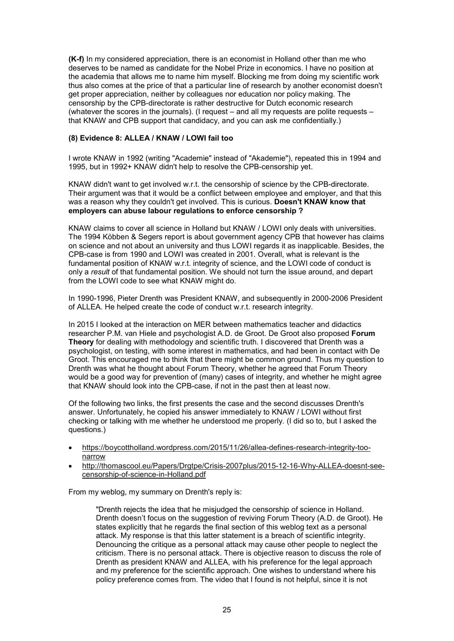**(K-f)** In my considered appreciation, there is an economist in Holland other than me who deserves to be named as candidate for the Nobel Prize in economics. I have no position at the academia that allows me to name him myself. Blocking me from doing my scientific work thus also comes at the price of that a particular line of research by another economist doesn't get proper appreciation, neither by colleagues nor education nor policy making. The censorship by the CPB-directorate is rather destructive for Dutch economic research (whatever the scores in the journals). (I request – and all my requests are polite requests – that KNAW and CPB support that candidacy, and you can ask me confidentially.)

# **(8) Evidence 8: ALLEA / KNAW / LOWI fail too**

I wrote KNAW in 1992 (writing "Academie" instead of "Akademie"), repeated this in 1994 and 1995, but in 1992+ KNAW didn't help to resolve the CPB-censorship yet.

KNAW didn't want to get involved w.r.t. the censorship of science by the CPB-directorate. Their argument was that it would be a conflict between employee and employer, and that this was a reason why they couldn't get involved. This is curious. **Doesn't KNAW know that employers can abuse labour regulations to enforce censorship ?**

KNAW claims to cover all science in Holland but KNAW / LOWI only deals with universities. The 1994 Köbben & Segers report is about government agency CPB that however has claims on science and not about an university and thus LOWI regards it as inapplicable. Besides, the CPB-case is from 1990 and LOWI was created in 2001. Overall, what is relevant is the fundamental position of KNAW w.r.t. integrity of science, and the LOWI code of conduct is only a *result* of that fundamental position. We should not turn the issue around, and depart from the LOWI code to see what KNAW might do.

In 1990-1996, Pieter Drenth was President KNAW, and subsequently in 2000-2006 President of ALLEA. He helped create the code of conduct w.r.t. research integrity.

In 2015 I looked at the interaction on MER between mathematics teacher and didactics researcher P.M. van Hiele and psychologist A.D. de Groot. De Groot also proposed **Forum Theory** for dealing with methodology and scientific truth. I discovered that Drenth was a psychologist, on testing, with some interest in mathematics, and had been in contact with De Groot. This encouraged me to think that there might be common ground. Thus my question to Drenth was what he thought about Forum Theory, whether he agreed that Forum Theory would be a good way for prevention of (many) cases of integrity, and whether he might agree that KNAW should look into the CPB-case, if not in the past then at least now.

Of the following two links, the first presents the case and the second discusses Drenth's answer. Unfortunately, he copied his answer immediately to KNAW / LOWI without first checking or talking with me whether he understood me properly. (I did so to, but I asked the questions.)

- https://boycottholland.wordpress.com/2015/11/26/allea-defines-research-integrity-toonarrow
- http://thomascool.eu/Papers/Drgtpe/Crisis-2007plus/2015-12-16-Why-ALLEA-doesnt-seecensorship-of-science-in-Holland.pdf

From my weblog, my summary on Drenth's reply is:

"Drenth rejects the idea that he misjudged the censorship of science in Holland. Drenth doesn't focus on the suggestion of reviving Forum Theory (A.D. de Groot). He states explicitly that he regards the final section of this weblog text as a personal attack. My response is that this latter statement is a breach of scientific integrity. Denouncing the critique as a personal attack may cause other people to neglect the criticism. There is no personal attack. There is objective reason to discuss the role of Drenth as president KNAW and ALLEA, with his preference for the legal approach and my preference for the scientific approach. One wishes to understand where his policy preference comes from. The video that I found is not helpful, since it is not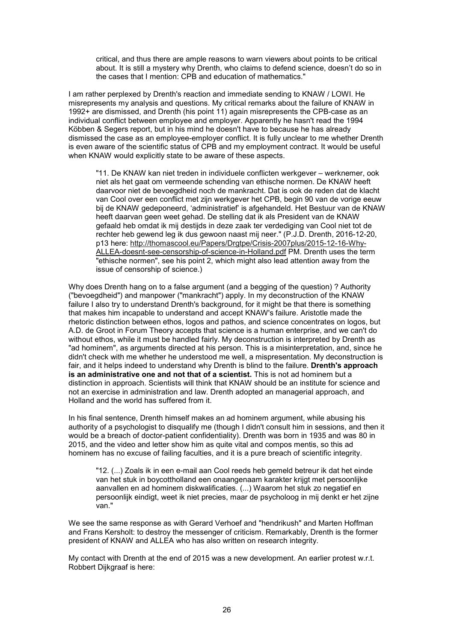critical, and thus there are ample reasons to warn viewers about points to be critical about. It is still a mystery why Drenth, who claims to defend science, doesn't do so in the cases that I mention: CPB and education of mathematics."

I am rather perplexed by Drenth's reaction and immediate sending to KNAW / LOWI. He misrepresents my analysis and questions. My critical remarks about the failure of KNAW in 1992+ are dismissed, and Drenth (his point 11) again misrepresents the CPB-case as an individual conflict between employee and employer. Apparently he hasn't read the 1994 Köbben & Segers report, but in his mind he doesn't have to because he has already dismissed the case as an employee-employer conflict. It is fully unclear to me whether Drenth is even aware of the scientific status of CPB and my employment contract. It would be useful when KNAW would explicitly state to be aware of these aspects.

"11. De KNAW kan niet treden in individuele conflicten werkgever – werknemer, ook niet als het gaat om vermeende schending van ethische normen. De KNAW heeft daarvoor niet de bevoegdheid noch de mankracht. Dat is ook de reden dat de klacht van Cool over een conflict met zijn werkgever het CPB, begin 90 van de vorige eeuw bij de KNAW gedeponeerd, 'administratief' is afgehandeld. Het Bestuur van de KNAW heeft daarvan geen weet gehad. De stelling dat ik als President van de KNAW gefaald heb omdat ik mij destijds in deze zaak ter verdediging van Cool niet tot de rechter heb gewend leg ik dus gewoon naast mij neer." (P.J.D. Drenth, 2016-12-20, p13 here: http://thomascool.eu/Papers/Drgtpe/Crisis-2007plus/2015-12-16-Why-ALLEA-doesnt-see-censorship-of-science-in-Holland.pdf PM. Drenth uses the term "ethische normen", see his point 2, which might also lead attention away from the issue of censorship of science.)

Why does Drenth hang on to a false argument (and a begging of the question) ? Authority ("bevoegdheid") and manpower ("mankracht") apply. In my deconstruction of the KNAW failure I also try to understand Drenth's background, for it might be that there is something that makes him incapable to understand and accept KNAW's failure. Aristotle made the rhetoric distinction between ethos, logos and pathos, and science concentrates on logos, but A.D. de Groot in Forum Theory accepts that science is a human enterprise, and we can't do without ethos, while it must be handled fairly. My deconstruction is interpreted by Drenth as "ad hominem", as arguments directed at his person. This is a misinterpretation, and, since he didn't check with me whether he understood me well, a mispresentation. My deconstruction is fair, and it helps indeed to understand why Drenth is blind to the failure. **Drenth's approach is an administrative one and not that of a scientist.** This is not ad hominem but a distinction in approach. Scientists will think that KNAW should be an institute for science and not an exercise in administration and law. Drenth adopted an managerial approach, and Holland and the world has suffered from it.

In his final sentence, Drenth himself makes an ad hominem argument, while abusing his authority of a psychologist to disqualify me (though I didn't consult him in sessions, and then it would be a breach of doctor-patient confidentiality). Drenth was born in 1935 and was 80 in 2015, and the video and letter show him as quite vital and compos mentis, so this ad hominem has no excuse of failing faculties, and it is a pure breach of scientific integrity.

"12. (...) Zoals ik in een e-mail aan Cool reeds heb gemeld betreur ik dat het einde van het stuk in boycottholland een onaangenaam karakter krijgt met persoonlijke aanvallen en ad hominem diskwalificaties. (...) Waarom het stuk zo negatief en persoonlijk eindigt, weet ik niet precies, maar de psycholoog in mij denkt er het zijne van."

We see the same response as with Gerard Verhoef and "hendrikush" and Marten Hoffman and Frans Kersholt: to destroy the messenger of criticism. Remarkably, Drenth is the former president of KNAW and ALLEA who has also written on research integrity.

My contact with Drenth at the end of 2015 was a new development. An earlier protest w.r.t. Robbert Dijkgraaf is here: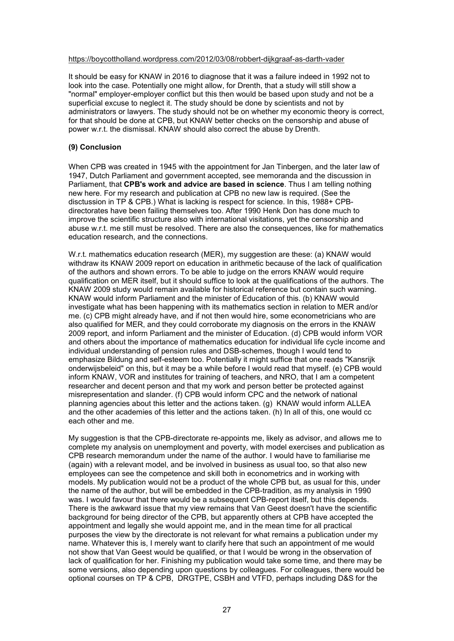#### https://boycottholland.wordpress.com/2012/03/08/robbert-dijkgraaf-as-darth-vader

It should be easy for KNAW in 2016 to diagnose that it was a failure indeed in 1992 not to look into the case. Potentially one might allow, for Drenth, that a study will still show a "normal" employer-employer conflict but this then would be based upon study and not be a superficial excuse to neglect it. The study should be done by scientists and not by administrators or lawyers. The study should not be on whether my economic theory is correct, for that should be done at CPB, but KNAW better checks on the censorship and abuse of power w.r.t. the dismissal. KNAW should also correct the abuse by Drenth.

#### **(9) Conclusion**

When CPB was created in 1945 with the appointment for Jan Tinbergen, and the later law of 1947, Dutch Parliament and government accepted, see memoranda and the discussion in Parliament, that **CPB's work and advice are based in science**. Thus I am telling nothing new here. For my research and publication at CPB no new law is required. (See the disctussion in TP & CPB.) What is lacking is respect for science. In this, 1988+ CPBdirectorates have been failing themselves too. After 1990 Henk Don has done much to improve the scientific structure also with international visitations, yet the censorship and abuse w.r.t. me still must be resolved. There are also the consequences, like for mathematics education research, and the connections.

W.r.t. mathematics education research (MER), my suggestion are these: (a) KNAW would withdraw its KNAW 2009 report on education in arithmetic because of the lack of qualification of the authors and shown errors. To be able to judge on the errors KNAW would require qualification on MER itself, but it should suffice to look at the qualifications of the authors. The KNAW 2009 study would remain available for historical reference but contain such warning. KNAW would inform Parliament and the minister of Education of this. (b) KNAW would investigate what has been happening with its mathematics section in relation to MER and/or me. (c) CPB might already have, and if not then would hire, some econometricians who are also qualified for MER, and they could corroborate my diagnosis on the errors in the KNAW 2009 report, and inform Parliament and the minister of Education. (d) CPB would inform VOR and others about the importance of mathematics education for individual life cycle income and individual understanding of pension rules and DSB-schemes, though I would tend to emphasize Bildung and self-esteem too. Potentially it might suffice that one reads "Kansrijk onderwijsbeleid" on this, but it may be a while before I would read that myself. (e) CPB would inform KNAW, VOR and institutes for training of teachers, and NRO, that I am a competent researcher and decent person and that my work and person better be protected against misrepresentation and slander. (f) CPB would inform CPC and the network of national planning agencies about this letter and the actions taken. (g) KNAW would inform ALLEA and the other academies of this letter and the actions taken. (h) In all of this, one would cc each other and me.

My suggestion is that the CPB-directorate re-appoints me, likely as advisor, and allows me to complete my analysis on unemployment and poverty, with model exercises and publication as CPB research memorandum under the name of the author. I would have to familiarise me (again) with a relevant model, and be involved in business as usual too, so that also new employees can see the competence and skill both in econometrics and in working with models. My publication would not be a product of the whole CPB but, as usual for this, under the name of the author, but will be embedded in the CPB-tradition, as my analysis in 1990 was. I would favour that there would be a subsequent CPB-report itself, but this depends. There is the awkward issue that my view remains that Van Geest doesn't have the scientific background for being director of the CPB, but apparently others at CPB have accepted the appointment and legally she would appoint me, and in the mean time for all practical purposes the view by the directorate is not relevant for what remains a publication under my name. Whatever this is, I merely want to clarify here that such an appointment of me would not show that Van Geest would be qualified, or that I would be wrong in the observation of lack of qualification for her. Finishing my publication would take some time, and there may be some versions, also depending upon questions by colleagues. For colleagues, there would be optional courses on TP & CPB, DRGTPE, CSBH and VTFD, perhaps including D&S for the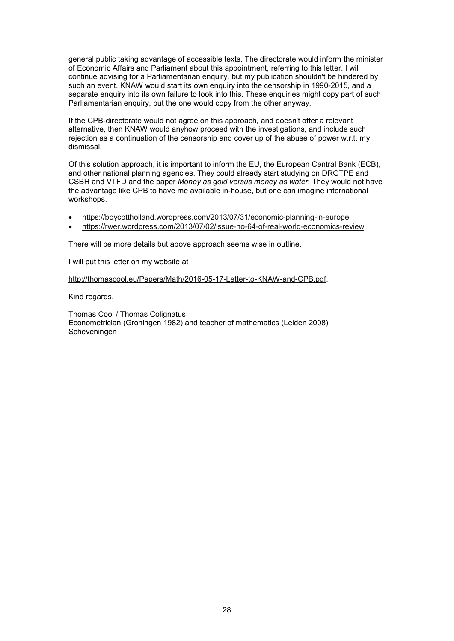general public taking advantage of accessible texts. The directorate would inform the minister of Economic Affairs and Parliament about this appointment, referring to this letter. I will continue advising for a Parliamentarian enquiry, but my publication shouldn't be hindered by such an event. KNAW would start its own enquiry into the censorship in 1990-2015, and a separate enquiry into its own failure to look into this. These enquiries might copy part of such Parliamentarian enquiry, but the one would copy from the other anyway.

If the CPB-directorate would not agree on this approach, and doesn't offer a relevant alternative, then KNAW would anyhow proceed with the investigations, and include such rejection as a continuation of the censorship and cover up of the abuse of power w.r.t. my dismissal.

Of this solution approach, it is important to inform the EU, the European Central Bank (ECB), and other national planning agencies. They could already start studying on DRGTPE and CSBH and VTFD and the paper *Money as gold versus money as water*. They would not have the advantage like CPB to have me available in-house, but one can imagine international workshops.

- https://boycottholland.wordpress.com/2013/07/31/economic-planning-in-europe
- https://rwer.wordpress.com/2013/07/02/issue-no-64-of-real-world-economics-review

There will be more details but above approach seems wise in outline.

I will put this letter on my website at

http://thomascool.eu/Papers/Math/2016-05-17-Letter-to-KNAW-and-CPB.pdf.

Kind regards,

Thomas Cool / Thomas Colignatus Econometrician (Groningen 1982) and teacher of mathematics (Leiden 2008) Scheveningen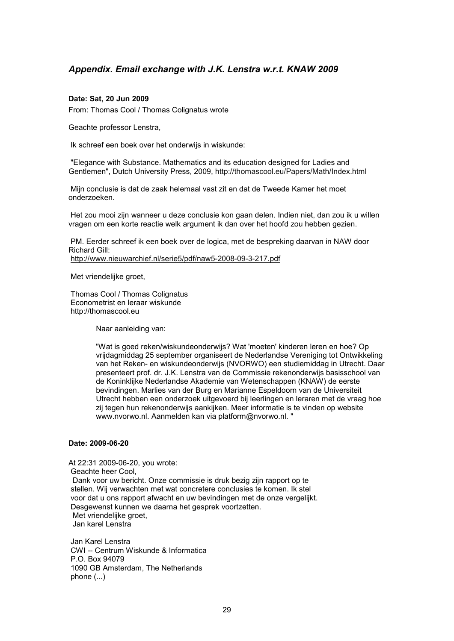# *Appendix. Email exchange with J.K. Lenstra w.r.t. KNAW 2009*

# **Date: Sat, 20 Jun 2009**

From: Thomas Cool / Thomas Colignatus wrote

Geachte professor Lenstra,

Ik schreef een boek over het onderwijs in wiskunde:

 "Elegance with Substance. Mathematics and its education designed for Ladies and Gentlemen", Dutch University Press, 2009, http://thomascool.eu/Papers/Math/Index.html

 Mijn conclusie is dat de zaak helemaal vast zit en dat de Tweede Kamer het moet onderzoeken.

 Het zou mooi zijn wanneer u deze conclusie kon gaan delen. Indien niet, dan zou ik u willen vragen om een korte reactie welk argument ik dan over het hoofd zou hebben gezien.

 PM. Eerder schreef ik een boek over de logica, met de bespreking daarvan in NAW door Richard Gill: http://www.nieuwarchief.nl/serie5/pdf/naw5-2008-09-3-217.pdf

Met vriendelijke groet,

 Thomas Cool / Thomas Colignatus Econometrist en leraar wiskunde http://thomascool.eu

Naar aanleiding van:

"Wat is goed reken/wiskundeonderwijs? Wat 'moeten' kinderen leren en hoe? Op vrijdagmiddag 25 september organiseert de Nederlandse Vereniging tot Ontwikkeling van het Reken- en wiskundeonderwijs (NVORWO) een studiemiddag in Utrecht. Daar presenteert prof. dr. J.K. Lenstra van de Commissie rekenonderwijs basisschool van de Koninklijke Nederlandse Akademie van Wetenschappen (KNAW) de eerste bevindingen. Marlies van der Burg en Marianne Espeldoorn van de Universiteit Utrecht hebben een onderzoek uitgevoerd bij leerlingen en leraren met de vraag hoe zij tegen hun rekenonderwijs aankijken. Meer informatie is te vinden op website www.nvorwo.nl. Aanmelden kan via platform@nvorwo.nl. "

#### **Date: 2009-06-20**

At 22:31 2009-06-20, you wrote: Geachte heer Cool, Dank voor uw bericht. Onze commissie is druk bezig zijn rapport op te stellen. Wij verwachten met wat concretere conclusies te komen. Ik stel voor dat u ons rapport afwacht en uw bevindingen met de onze vergelijkt. Desgewenst kunnen we daarna het gesprek voortzetten. Met vriendelijke groet. Jan karel Lenstra

 Jan Karel Lenstra CWI -- Centrum Wiskunde & Informatica P.O. Box 94079 1090 GB Amsterdam, The Netherlands phone (...)